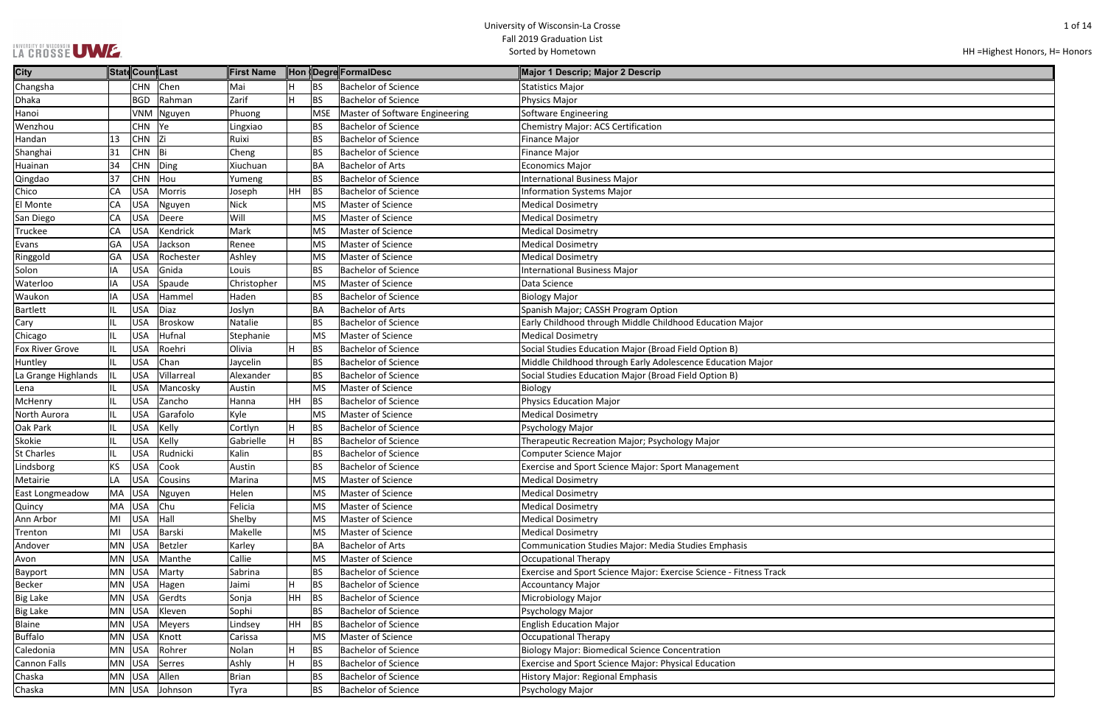### UNIVERSITY OF WISCONSIN<br>LA CROSSE UWE.

| HH = Highest Honors, H = Honors |  |  |  |
|---------------------------------|--|--|--|
|---------------------------------|--|--|--|

| <b>City</b>            |            | ∥Statq Coun∥Last |            | llFirst Name⊹ |           |            | <b>Hon (Degre)</b> FormalDesc  | Major 1 Descrip; Major 2 Descrip                                   |
|------------------------|------------|------------------|------------|---------------|-----------|------------|--------------------------------|--------------------------------------------------------------------|
| Changsha               |            | <b>CHN</b>       | Chen       | Mai           |           | BS         | <b>Bachelor of Science</b>     | <b>Statistics Major</b>                                            |
| Dhaka                  |            | <b>BGD</b>       | Rahman     | Zarif         | H         | <b>BS</b>  | <b>Bachelor of Science</b>     | Physics Major                                                      |
| Hanoi                  |            | <b>VNM</b>       | Nguyen     | Phuong        |           | <b>MSE</b> | Master of Software Engineering | Software Engineering                                               |
| Wenzhou                |            | <b>CHN</b>       | Ye         | Lingxiao      |           | BS         | <b>Bachelor of Science</b>     | Chemistry Major: ACS Certification                                 |
| Handan                 | 13         | <b>CHN</b>       | Zi         | Ruixi         |           | <b>BS</b>  | <b>Bachelor of Science</b>     | <b>Finance Major</b>                                               |
| Shanghai               | 31         | <b>CHN</b>       | Bi         | Cheng         |           | <b>BS</b>  | <b>Bachelor of Science</b>     | <b>Finance Major</b>                                               |
| Huainan                | 34         | <b>CHN</b>       | Ding       | Xiuchuan      |           | <b>BA</b>  | <b>Bachelor of Arts</b>        | <b>Economics Major</b>                                             |
| Qingdao                | 37         | <b>CHN</b>       | Hou        | Yumeng        |           | <b>BS</b>  | <b>Bachelor of Science</b>     | <b>International Business Major</b>                                |
| Chico                  | CA         | <b>USA</b>       | Morris     | Joseph        | <b>HH</b> | BS         | <b>Bachelor of Science</b>     | <b>Information Systems Major</b>                                   |
| El Monte               | CA         | <b>USA</b>       | Nguyen     | <b>Nick</b>   |           | <b>MS</b>  | Master of Science              | <b>Medical Dosimetry</b>                                           |
| San Diego              | CA         | <b>USA</b>       | Deere      | Will          |           | <b>MS</b>  | Master of Science              | <b>Medical Dosimetry</b>                                           |
| Truckee                | <b>CA</b>  | <b>USA</b>       | Kendrick   | Mark          |           | <b>MS</b>  | Master of Science              | <b>Medical Dosimetry</b>                                           |
| Evans                  | GA         | <b>USA</b>       | Jackson    | Renee         |           | <b>MS</b>  | Master of Science              | <b>Medical Dosimetry</b>                                           |
| Ringgold               | GA         | <b>USA</b>       | Rochester  | Ashley        |           | <b>MS</b>  | Master of Science              | <b>Medical Dosimetry</b>                                           |
| Solon                  | IA         | <b>USA</b>       | Gnida      | Louis         |           | <b>BS</b>  | <b>Bachelor of Science</b>     | <b>International Business Major</b>                                |
| Waterloo               | IA         | <b>USA</b>       | Spaude     | Christopher   |           | <b>MS</b>  | Master of Science              | Data Science                                                       |
| Waukon                 | IA         | <b>USA</b>       | Hammel     | Haden         |           | BS         | <b>Bachelor of Science</b>     | <b>Biology Major</b>                                               |
| Bartlett               | IL         | <b>USA</b>       | Diaz       | Joslyn        |           | <b>BA</b>  | <b>Bachelor of Arts</b>        | Spanish Major; CASSH Program Option                                |
| Cary                   | IL         | <b>USA</b>       | Broskow    | Natalie       |           | <b>BS</b>  | <b>Bachelor of Science</b>     | Early Childhood through Middle Childhood Education Major           |
| Chicago                |            | <b>USA</b>       | Hufnal     | Stephanie     |           | <b>MS</b>  | Master of Science              | <b>Medical Dosimetry</b>                                           |
| <b>Fox River Grove</b> | IL         | <b>USA</b>       | Roehri     | Olivia        | н         | <b>BS</b>  | <b>Bachelor of Science</b>     | Social Studies Education Major (Broad Field Option B)              |
| Huntley                | IL         | <b>USA</b>       | Chan       | Jaycelin      |           | <b>BS</b>  | <b>Bachelor of Science</b>     | Middle Childhood through Early Adolescence Education Major         |
| La Grange Highlands    | IIL.       | <b>USA</b>       | Villarreal | Alexander     |           | BS         | <b>Bachelor of Science</b>     | Social Studies Education Major (Broad Field Option B)              |
| Lena                   | IL         | <b>USA</b>       | Mancosky   | Austin        |           | <b>MS</b>  | Master of Science              | Biology                                                            |
| McHenry                | IL         | <b>USA</b>       | Zancho     | Hanna         | HH        | <b>BS</b>  | <b>Bachelor of Science</b>     | <b>Physics Education Major</b>                                     |
| North Aurora           | IL         | <b>USA</b>       | Garafolo   | Kyle          |           | <b>MS</b>  | Master of Science              | <b>Medical Dosimetry</b>                                           |
| Oak Park               | IL         | <b>USA</b>       | Kelly      | Cortlyn       | Н         | <b>BS</b>  | <b>Bachelor of Science</b>     | Psychology Major                                                   |
| Skokie                 | IL         | <b>USA</b>       | Kelly      | Gabrielle     | H         | <b>BS</b>  | <b>Bachelor of Science</b>     | Therapeutic Recreation Major; Psychology Major                     |
| <b>St Charles</b>      | IL         | <b>USA</b>       | Rudnicki   | Kalin         |           | BS         | <b>Bachelor of Science</b>     | Computer Science Major                                             |
| Lindsborg              | KS         | USA              | Cook       | Austin        |           | <b>BS</b>  | <b>Bachelor of Science</b>     | <b>Exercise and Sport Science Major: Sport Management</b>          |
| Metairie               | <b>ILA</b> | <b>USA</b>       | Cousins    | Marina        |           | <b>MS</b>  | Master of Science              | <b>Medical Dosimetry</b>                                           |
| East Longmeadow        | MA         | <b>USA</b>       | Nguyen     | Helen         |           | <b>MS</b>  | Master of Science              | <b>Medical Dosimetry</b>                                           |
| Quincy                 | MA         | USA              | Chu        | Felicia       |           | <b>MS</b>  | Master of Science              | <b>Medical Dosimetry</b>                                           |
| Ann Arbor              | MI         | <b>USA</b>       | Hall       | Shelby        |           | <b>MS</b>  | Master of Science              | <b>Medical Dosimetry</b>                                           |
| Trenton                | MI         | USA              | Barski     | Makelle       |           | <b>MS</b>  | Master of Science              | <b>Medical Dosimetry</b>                                           |
| Andover                | MN         | <b>USA</b>       | Betzler    | Karley        |           | BA         | <b>Bachelor of Arts</b>        | Communication Studies Major: Media Studies Emphasis                |
| Avon                   | <b>MN</b>  | <b>USA</b>       | Manthe     | Callie        |           | <b>MS</b>  | Master of Science              | Occupational Therapy                                               |
| Bayport                | <b>MN</b>  | <b>USA</b>       | Marty      | Sabrina       |           | <b>BS</b>  | <b>Bachelor of Science</b>     | Exercise and Sport Science Major: Exercise Science - Fitness Track |
| <b>Becker</b>          | MN         | <b>USA</b>       | Hagen      | Jaimi         | Н         | BS         | <b>Bachelor of Science</b>     | <b>Accountancy Major</b>                                           |
| <b>Big Lake</b>        | MN         | <b>USA</b>       | Gerdts     | Sonja         | HH        | <b>BS</b>  | <b>Bachelor of Science</b>     | Microbiology Major                                                 |
| <b>Big Lake</b>        | MN         | USA              | Kleven     | Sophi         |           | <b>BS</b>  | <b>Bachelor of Science</b>     | Psychology Major                                                   |
| <b>Blaine</b>          | MN         | <b>USA</b>       | Meyers     | Lindsey       | HH        | <b>BS</b>  | <b>Bachelor of Science</b>     | <b>English Education Major</b>                                     |
| <b>Buffalo</b>         | MN         | <b>USA</b>       | Knott      | Carissa       |           | <b>MS</b>  | Master of Science              | Occupational Therapy                                               |
| Caledonia              | MN         | <b>USA</b>       | Rohrer     | Nolan         | Н         | <b>BS</b>  | <b>Bachelor of Science</b>     | <b>Biology Major: Biomedical Science Concentration</b>             |
| Cannon Falls           | MN         | <b>USA</b>       | Serres     | Ashly         | Н         | BS         | <b>Bachelor of Science</b>     | Exercise and Sport Science Major: Physical Education               |
|                        |            | <b>USA</b>       | Allen      |               |           |            | <b>Bachelor of Science</b>     |                                                                    |
| Chaska                 | MN         |                  |            | <b>Brian</b>  |           | <b>BS</b>  |                                | History Major: Regional Emphasis                                   |
| Chaska                 |            | MN USA           | Johnson    | Tyra          |           | <b>BS</b>  | <b>Bachelor of Science</b>     | Psychology Major                                                   |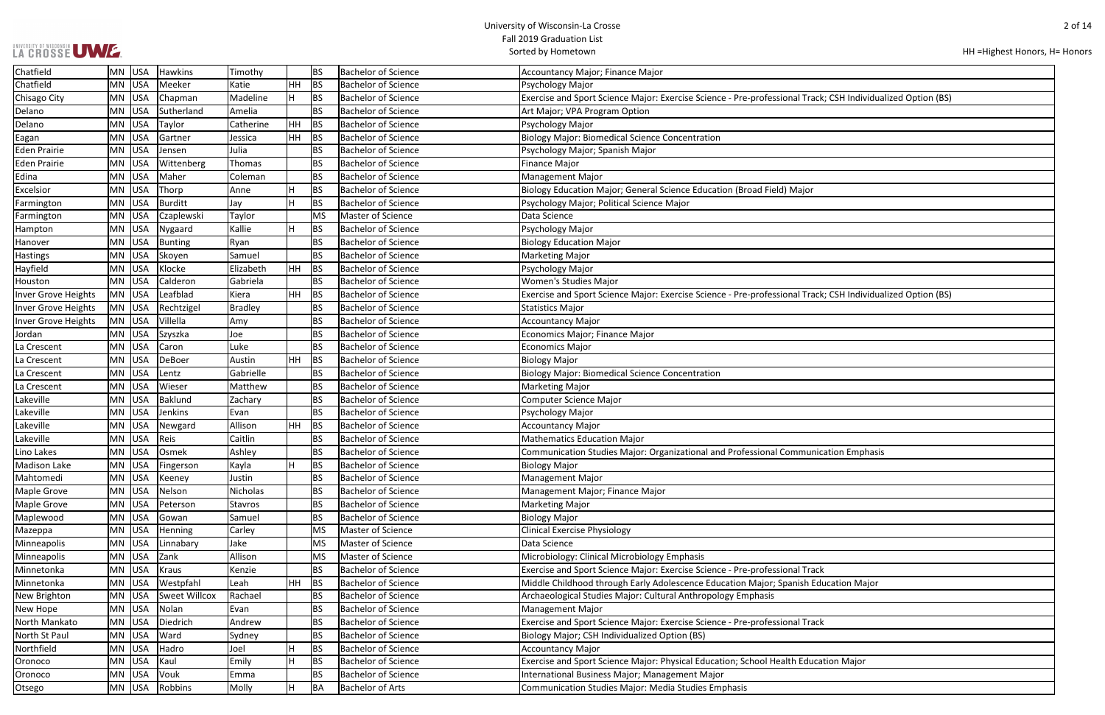# UNIVERSITY OF WISCONSIN UW E.

| HH = Highest Honors, H = Honors |  |  |  |
|---------------------------------|--|--|--|
|---------------------------------|--|--|--|

| ack; CSH Individualized Option (BS) |
|-------------------------------------|
|                                     |
|                                     |
|                                     |
|                                     |
|                                     |
|                                     |
|                                     |
|                                     |
|                                     |
|                                     |
|                                     |
|                                     |
|                                     |
|                                     |
|                                     |
|                                     |
| ack; CSH Individualized Option (BS) |
|                                     |
|                                     |
|                                     |
|                                     |
|                                     |
|                                     |
|                                     |
|                                     |
|                                     |
|                                     |
|                                     |
|                                     |
|                                     |
|                                     |
| nication Emphasis                   |
|                                     |
|                                     |
|                                     |
|                                     |
|                                     |
|                                     |
|                                     |
|                                     |
|                                     |
| ack                                 |
| <b>Education Major</b>              |
|                                     |
|                                     |
|                                     |
| ack                                 |
|                                     |
|                                     |
|                                     |
| <b>Ication Major</b>                |
|                                     |
|                                     |
|                                     |

| Chatfield           | MN USA           | Hawkins       | Timothy        |           | <b>BS</b> | <b>Bachelor of Science</b> | Accountancy Major; Finance Major                                                                            |
|---------------------|------------------|---------------|----------------|-----------|-----------|----------------------------|-------------------------------------------------------------------------------------------------------------|
| Chatfield           | MN USA           | Meeker        | Katie          | <b>HH</b> | <b>BS</b> | <b>Bachelor of Science</b> | Psychology Major                                                                                            |
| Chisago City        | <b>USA</b><br>MN | Chapman       | Madeline       | H         | <b>BS</b> | <b>Bachelor of Science</b> | Exercise and Sport Science Major: Exercise Science - Pre-professional Track; CSH Individualized Option (BS) |
| Delano              | USA<br>MN        | Sutherland    | Amelia         |           | <b>BS</b> | <b>Bachelor of Science</b> | Art Major; VPA Program Option                                                                               |
| Delano              | <b>USA</b><br>MN | Taylor        | Catherine      | HH        | <b>BS</b> | <b>Bachelor of Science</b> | Psychology Major                                                                                            |
| Eagan               | USA<br>MN        | Gartner       | Jessica        | <b>HH</b> | BS        | <b>Bachelor of Science</b> | <b>Biology Major: Biomedical Science Concentration</b>                                                      |
| <b>Eden Prairie</b> | MN USA           | Jensen        | Julia          |           | <b>BS</b> | <b>Bachelor of Science</b> | Psychology Major; Spanish Major                                                                             |
| <b>Eden Prairie</b> | USA<br>MN        | Wittenberg    | Thomas         |           | <b>BS</b> | <b>Bachelor of Science</b> | Finance Major                                                                                               |
| <b>Edina</b>        | USA<br>MN        | Maher         | Coleman        |           | <b>BS</b> | <b>Bachelor of Science</b> | <b>Management Major</b>                                                                                     |
| Excelsior           | <b>USA</b><br>MN | Thorp         | Anne           | H         | <b>BS</b> | <b>Bachelor of Science</b> | Biology Education Major; General Science Education (Broad Field) Major                                      |
| Farmington          | MN USA           | Burditt       | Jay            | H         | <b>BS</b> | <b>Bachelor of Science</b> | Psychology Major; Political Science Major                                                                   |
| Farmington          | <b>USA</b><br>MN | Czaplewski    | Taylor         |           | MS        | Master of Science          | Data Science                                                                                                |
| Hampton             | USA<br>MN        | Nygaard       | Kallie         | H.        | <b>BS</b> | <b>Bachelor of Science</b> | Psychology Major                                                                                            |
| Hanover             | MN USA           | Bunting       | Ryan           |           | <b>BS</b> | <b>Bachelor of Science</b> | <b>Biology Education Major</b>                                                                              |
| <b>Hastings</b>     | USA<br>MN        | Skoyen        | Samuel         |           | <b>BS</b> | <b>Bachelor of Science</b> | <b>Marketing Major</b>                                                                                      |
| Hayfield            | USA<br>MN        | Klocke        | Elizabeth      | <b>HH</b> | BS        | <b>Bachelor of Science</b> | Psychology Major                                                                                            |
| Houston             | <b>USA</b><br>MN | Calderon      | Gabriela       |           | <b>BS</b> | <b>Bachelor of Science</b> | Women's Studies Major                                                                                       |
| Inver Grove Heights | MN USA           | Leafblad      | Kiera          | <b>HH</b> | <b>BS</b> | <b>Bachelor of Science</b> | Exercise and Sport Science Major: Exercise Science - Pre-professional Track; CSH Individualized Option (BS) |
| Inver Grove Heights | MN USA           | Rechtzigel    | <b>Bradley</b> |           | <b>BS</b> | <b>Bachelor of Science</b> | <b>Statistics Major</b>                                                                                     |
| Inver Grove Heights | MN USA           | Villella      | Amy            |           | <b>BS</b> | <b>Bachelor of Science</b> | <b>Accountancy Major</b>                                                                                    |
| Jordan              | MN USA           | Szyszka       | Joe            |           | <b>BS</b> | <b>Bachelor of Science</b> | Economics Major; Finance Major                                                                              |
| La Crescent         | <b>USA</b><br>MN | Caron         | Luke           |           | <b>BS</b> | <b>Bachelor of Science</b> | <b>Economics Major</b>                                                                                      |
| La Crescent         | USA<br>MN        | DeBoer        | Austin         | HH        | BS        | <b>Bachelor of Science</b> | <b>Biology Major</b>                                                                                        |
| La Crescent         | <b>USA</b><br>MN | Lentz         | Gabrielle      |           | <b>BS</b> | <b>Bachelor of Science</b> | <b>Biology Major: Biomedical Science Concentration</b>                                                      |
| La Crescent         | MN USA           | Wieser        | Matthew        |           | <b>BS</b> | <b>Bachelor of Science</b> | <b>Marketing Major</b>                                                                                      |
| Lakeville           | MN USA           | Baklund       | Zachary        |           | <b>BS</b> | <b>Bachelor of Science</b> | Computer Science Major                                                                                      |
| Lakeville           | USA<br>MN        | Jenkins       | Evan           |           | <b>BS</b> | <b>Bachelor of Science</b> | Psychology Major                                                                                            |
| Lakeville           | USA<br>MN        | Newgard       | Allison        | HH        | <b>BS</b> | <b>Bachelor of Science</b> | <b>Accountancy Major</b>                                                                                    |
| Lakeville           | <b>USA</b><br>MN | Reis          | Caitlin        |           | <b>BS</b> | Bachelor of Science        | <b>Mathematics Education Major</b>                                                                          |
| Lino Lakes          | USA<br>MN        | Osmek         | Ashley         |           | <b>BS</b> | <b>Bachelor of Science</b> | Communication Studies Major: Organizational and Professional Communication Emphasis                         |
| <b>Madison Lake</b> | $MN$ USA         | Fingerson     | Kayla          |           | <b>BS</b> | <b>Bachelor of Science</b> | <b>Biology Major</b>                                                                                        |
| Mahtomedi           | MN USA           | Keeney        | Justin         |           | <b>BS</b> | <b>Bachelor of Science</b> | <b>Management Major</b>                                                                                     |
| <b>Maple Grove</b>  | MN USA           | Nelson        | Nicholas       |           | <b>BS</b> | <b>Bachelor of Science</b> | Management Major; Finance Major                                                                             |
| Maple Grove         | MN USA           | Peterson      | Stavros        |           | <b>BS</b> | <b>Bachelor of Science</b> | <b>Marketing Major</b>                                                                                      |
| Maplewood           | MN USA           | Gowan         | Samuel         |           | <b>BS</b> | <b>Bachelor of Science</b> | <b>Biology Major</b>                                                                                        |
| Mazeppa             | <b>USA</b><br>MN | Henning       | Carley         |           | MS        | Master of Science          | <b>Clinical Exercise Physiology</b>                                                                         |
| Minneapolis         | MN USA           | Linnabary     | Jake           |           | MS        | Master of Science          | Data Science                                                                                                |
| Minneapolis         | USA<br>MN        | Zank          | Allison        |           | MS        | Master of Science          | Microbiology: Clinical Microbiology Emphasis                                                                |
| Minnetonka          | MN USA           | Kraus         | Kenzie         |           | <b>BS</b> | <b>Bachelor of Science</b> | Exercise and Sport Science Major: Exercise Science - Pre-professional Track                                 |
| Minnetonka          | MN USA           | Westpfahl     | Leah           | HH        | <b>BS</b> | <b>Bachelor of Science</b> | Middle Childhood through Early Adolescence Education Major; Spanish Education Major                         |
| New Brighton        | <b>USA</b><br>MN | Sweet Willcox | Rachael        |           | <b>BS</b> | <b>Bachelor of Science</b> | Archaeological Studies Major: Cultural Anthropology Emphasis                                                |
| New Hope            | MN USA           | Nolan         | Evan           |           | <b>BS</b> | <b>Bachelor of Science</b> | <b>Management Major</b>                                                                                     |
| North Mankato       | <b>USA</b><br>MN | Diedrich      | Andrew         |           | <b>BS</b> | <b>Bachelor of Science</b> | Exercise and Sport Science Major: Exercise Science - Pre-professional Track                                 |
| North St Paul       | MN USA           | Ward          | Sydney         |           | <b>BS</b> | <b>Bachelor of Science</b> | Biology Major; CSH Individualized Option (BS)                                                               |
| Northfield          | MN USA           | Hadro         | Joel           | н         | <b>BS</b> | <b>Bachelor of Science</b> | <b>Accountancy Major</b>                                                                                    |
| Oronoco             | MN USA           | Kaul          | Emily          | H         | <b>BS</b> | Bachelor of Science        | Exercise and Sport Science Major: Physical Education; School Health Education Major                         |
| Oronoco             | MN USA           | Vouk          | Emma           |           | <b>BS</b> | <b>Bachelor of Science</b> | International Business Major; Management Major                                                              |
| Otsego              | $MN$ USA         | Robbins       | Molly          | H         | BA        | <b>Bachelor of Arts</b>    | Communication Studies Major: Media Studies Emphasis                                                         |
|                     |                  |               |                |           |           |                            |                                                                                                             |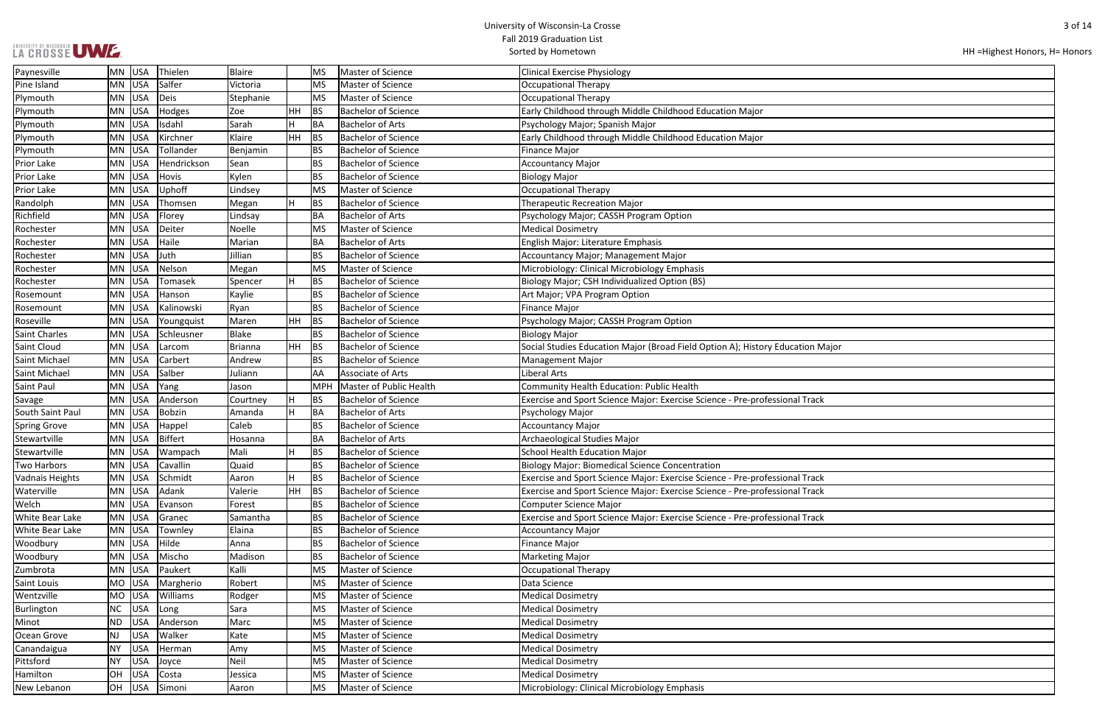| LA CROSSE UWE. |  |
|----------------|--|
|                |  |

| HH = Highest Honors, H = Honors |  |  |  |
|---------------------------------|--|--|--|
|---------------------------------|--|--|--|

| n Major       |
|---------------|
|               |
|               |
|               |
| ack           |
|               |
|               |
|               |
|               |
|               |
|               |
| $\frac{1}{2}$ |
| ack           |
|               |
| ack           |
|               |
|               |
|               |
|               |
|               |
|               |
|               |
|               |
|               |
|               |
|               |
|               |
|               |
|               |
|               |

| Paynesville            | <b>MN</b> | USA        | Thielen     | <b>Blaire</b> |           | <b>MS</b>  | Master of Science          | <b>Clinical Exercise Physiology</b>                                            |
|------------------------|-----------|------------|-------------|---------------|-----------|------------|----------------------------|--------------------------------------------------------------------------------|
| Pine Island            | MN        | USA        | Salfer      | Victoria      |           | <b>MS</b>  | Master of Science          | <b>Occupational Therapy</b>                                                    |
| Plymouth               | <b>MN</b> | USA        | Deis        | Stephanie     |           | MS         | Master of Science          | <b>Occupational Therapy</b>                                                    |
| Plymouth               | <b>MN</b> | <b>USA</b> | Hodges      | Zoe           | HH        | <b>BS</b>  | <b>Bachelor of Science</b> | Early Childhood through Middle Childhood Education Major                       |
| Plymouth               | MN        | <b>USA</b> | Isdahl      | Sarah         | H         | <b>BA</b>  | <b>Bachelor of Arts</b>    | Psychology Major; Spanish Major                                                |
| Plymouth               | MN        | USA        | Kirchner    | Klaire        | ∣нн       | <b>BS</b>  | <b>Bachelor of Science</b> | Early Childhood through Middle Childhood Education Major                       |
| Plymouth               | MN        | USA        | Tollander   | Benjamin      |           | <b>BS</b>  | <b>Bachelor of Science</b> | Finance Major                                                                  |
| <b>Prior Lake</b>      | MN        | USA        | Hendrickson | Sean          |           | <b>BS</b>  | <b>Bachelor of Science</b> | <b>Accountancy Major</b>                                                       |
| <b>Prior Lake</b>      | MN        | USA        | Hovis       | Kylen         |           | <b>BS</b>  | <b>Bachelor of Science</b> | <b>Biology Major</b>                                                           |
| Prior Lake             | <b>MN</b> | USA        | Uphoff      | Lindsey       |           | MS         | Master of Science          | <b>Occupational Therapy</b>                                                    |
| Randolph               | MN        | USA        | Thomsen     | Megan         | H         | <b>BS</b>  | <b>Bachelor of Science</b> | <b>Therapeutic Recreation Major</b>                                            |
| Richfield              | MN        | <b>USA</b> | Florey      | Lindsay       |           | BA         | <b>Bachelor of Arts</b>    | Psychology Major; CASSH Program Option                                         |
| Rochester              | <b>MN</b> | USA        | Deiter      | Noelle        |           | <b>MS</b>  | Master of Science          | <b>Medical Dosimetry</b>                                                       |
| Rochester              | MN        | USA        | Haile       | Marian        |           | BA         | <b>Bachelor of Arts</b>    | English Major: Literature Emphasis                                             |
| Rochester              | <b>MN</b> | USA        | Juth        | Jillian       |           | <b>BS</b>  | <b>Bachelor of Science</b> | Accountancy Major; Management Major                                            |
| Rochester              | MN        | USA        | Nelson      | Megan         |           | MS         | Master of Science          | Microbiology: Clinical Microbiology Emphasis                                   |
| Rochester              | MN        | <b>USA</b> | Tomasek     | Spencer       | H         | <b>BS</b>  | <b>Bachelor of Science</b> | Biology Major; CSH Individualized Option (BS)                                  |
| Rosemount              | MN        | <b>USA</b> | Hanson      | Kaylie        |           | <b>BS</b>  | <b>Bachelor of Science</b> | Art Major; VPA Program Option                                                  |
| Rosemount              | MN        | USA        | Kalinowski  | Ryan          |           | <b>BS</b>  | <b>Bachelor of Science</b> | <b>Finance Major</b>                                                           |
| Roseville              | MN        | USA        | Youngquist  | Maren         | HH        | BS         | <b>Bachelor of Science</b> | Psychology Major; CASSH Program Option                                         |
| Saint Charles          | MN        | USA        | Schleusner  | Blake         |           | <b>BS</b>  | <b>Bachelor of Science</b> | <b>Biology Major</b>                                                           |
| Saint Cloud            | <b>MN</b> | USA        | Larcom      | Brianna       | <b>HH</b> | BS         | <b>Bachelor of Science</b> | Social Studies Education Major (Broad Field Option A); History Education Major |
| Saint Michael          | <b>MN</b> | USA        | Carbert     | Andrew        |           | <b>BS</b>  | <b>Bachelor of Science</b> | <b>Management Major</b>                                                        |
| Saint Michael          | <b>MN</b> | <b>USA</b> | Salber      | Juliann       |           | AA         | Associate of Arts          | Liberal Arts                                                                   |
| <b>Saint Paul</b>      | MN        | USA        | Yang        | Jason         |           | <b>MPH</b> | Master of Public Health    | Community Health Education: Public Health                                      |
| Savage                 | MN        | USA        | Anderson    | Courtney      | H         | <b>BS</b>  | <b>Bachelor of Science</b> | Exercise and Sport Science Major: Exercise Science - Pre-professional Track    |
| South Saint Paul       | MN        | USA        | Bobzin      | Amanda        | H         | <b>BA</b>  | <b>Bachelor of Arts</b>    | Psychology Major                                                               |
| <b>Spring Grove</b>    | MN        | USA        | Happel      | Caleb         |           | <b>BS</b>  | <b>Bachelor of Science</b> | <b>Accountancy Major</b>                                                       |
| Stewartville           | <b>MN</b> | USA        | Biffert     | Hosanna       |           | BA         | <b>Bachelor of Arts</b>    | Archaeological Studies Major                                                   |
| Stewartville           | MN        | <b>USA</b> | Wampach     | Mali          | H         | <b>BS</b>  | <b>Bachelor of Science</b> | <b>School Health Education Major</b>                                           |
| Two Harbors            | <b>MN</b> | <b>USA</b> | Cavallin    | Quaid         |           | <b>BS</b>  | <b>Bachelor of Science</b> | <b>Biology Major: Biomedical Science Concentration</b>                         |
| <b>Vadnais Heights</b> |           | MN USA     | Schmidt     | Aaron         | H         | <b>BS</b>  | <b>Bachelor of Science</b> | Exercise and Sport Science Major: Exercise Science - Pre-professional Track    |
| Waterville             | MN        | USA        | Adank       | Valerie       | <b>HH</b> | <b>BS</b>  | <b>Bachelor of Science</b> | Exercise and Sport Science Major: Exercise Science - Pre-professional Track    |
| Welch                  | MN        | USA        | Evanson     | Forest        |           | <b>BS</b>  | <b>Bachelor of Science</b> | <b>Computer Science Major</b>                                                  |
| <b>White Bear Lake</b> | MN        | USA        | Granec      | Samantha      |           | <b>BS</b>  | Bachelor of Science        | Exercise and Sport Science Major: Exercise Science - Pre-professional Track    |
| White Bear Lake        | <b>MN</b> | USA        | Townley     | Elaina        |           | <b>BS</b>  | <b>Bachelor of Science</b> | <b>Accountancy Major</b>                                                       |
| Woodbury               | <b>MN</b> | USA        | Hilde       | Anna          |           | <b>BS</b>  | <b>Bachelor of Science</b> | <b>Finance Major</b>                                                           |
| Woodbury               | MN        | USA        | Mischo      | Madison       |           | <b>BS</b>  | <b>Bachelor of Science</b> | <b>Marketing Major</b>                                                         |
| Zumbrota               | MN        | USA        | Paukert     | Kalli         |           | MS         | Master of Science          | <b>Occupational Therapy</b>                                                    |
| Saint Louis            | <b>MO</b> | <b>USA</b> | Margherio   | Robert        |           | MS         | Master of Science          | Data Science                                                                   |
| Wentzville             | <b>MO</b> | <b>USA</b> | Williams    | Rodger        |           | <b>MS</b>  | Master of Science          | <b>Medical Dosimetry</b>                                                       |
| Burlington             | <b>NC</b> | <b>USA</b> | Long        | Sara          |           | MS         | Master of Science          | <b>Medical Dosimetry</b>                                                       |
| Minot                  | <b>ND</b> | <b>USA</b> | Anderson    | Marc          |           | <b>MS</b>  | Master of Science          | <b>Medical Dosimetry</b>                                                       |
| Ocean Grove            | <b>NJ</b> | <b>USA</b> | Walker      | Kate          |           | MS         | Master of Science          | <b>Medical Dosimetry</b>                                                       |
| Canandaigua            | <b>NY</b> | <b>USA</b> | Herman      | Amy           |           | <b>MS</b>  | Master of Science          | <b>Medical Dosimetry</b>                                                       |
| Pittsford              | <b>NY</b> | <b>USA</b> | Joyce       | Neil          |           | <b>MS</b>  | Master of Science          | <b>Medical Dosimetry</b>                                                       |
| Hamilton               | OH        | <b>USA</b> | Costa       | Jessica       |           | MS         | Master of Science          | <b>Medical Dosimetry</b>                                                       |
| New Lebanon            | OH        | <b>USA</b> | Simoni      | Aaron         |           | MS         | Master of Science          | Microbiology: Clinical Microbiology Emphasis                                   |
|                        |           |            |             |               |           |            |                            |                                                                                |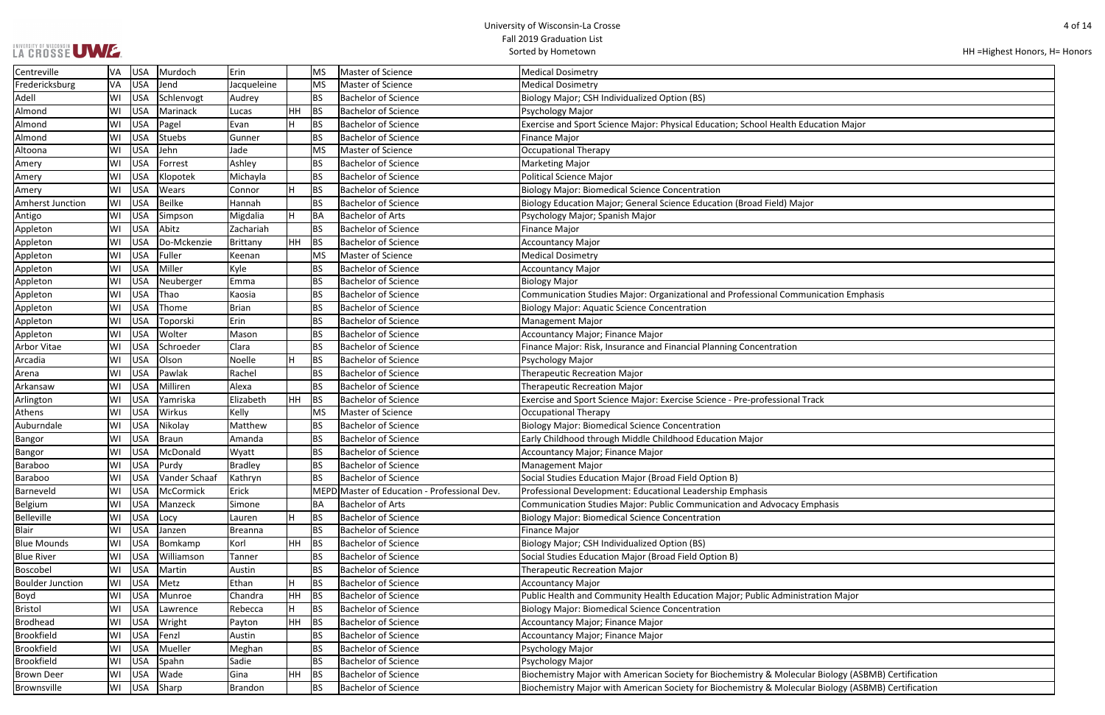# UNIVERSITY OF WISCONSIN UW E.

| HH = Highest Honors, H = Honors |  |  |
|---------------------------------|--|--|
|---------------------------------|--|--|

| ication Major                   |
|---------------------------------|
|                                 |
|                                 |
|                                 |
|                                 |
|                                 |
|                                 |
| ,                               |
|                                 |
|                                 |
|                                 |
|                                 |
|                                 |
|                                 |
|                                 |
| nication Emphasis               |
|                                 |
|                                 |
|                                 |
|                                 |
|                                 |
|                                 |
|                                 |
| ack                             |
|                                 |
|                                 |
|                                 |
|                                 |
|                                 |
|                                 |
|                                 |
|                                 |
| iphasis                         |
|                                 |
|                                 |
|                                 |
|                                 |
|                                 |
|                                 |
|                                 |
| ation Major                     |
|                                 |
|                                 |
|                                 |
|                                 |
|                                 |
| r Biology (ASBMB) Certification |
|                                 |
| r Biology (ASBMB) Certification |

| Centreville             | VA       | <b>USA</b>               | Murdoch       | Erin           |           | <b>MS</b> | Master of Science                            | <b>Medical Dosimetry</b>                                                                            |  |  |
|-------------------------|----------|--------------------------|---------------|----------------|-----------|-----------|----------------------------------------------|-----------------------------------------------------------------------------------------------------|--|--|
| Fredericksburg          | VA       | <b>USA</b>               | Jend          | Jacqueleine    |           | <b>MS</b> | Master of Science                            | <b>Medical Dosimetry</b>                                                                            |  |  |
| Adell                   | WI       | <b>USA</b>               | Schlenvogt    | Audrey         |           | <b>BS</b> | <b>Bachelor of Science</b>                   | Biology Major; CSH Individualized Option (BS)                                                       |  |  |
| Almond                  | WI       | <b>USA</b>               | Marinack      | Lucas          | <b>HH</b> | BS        | <b>Bachelor of Science</b>                   | Psychology Major                                                                                    |  |  |
| Almond                  | WI       | <b>USA</b>               | Pagel         | Evan           | H         | <b>BS</b> | <b>Bachelor of Science</b>                   | Exercise and Sport Science Major: Physical Education; School Health Education Major                 |  |  |
| Almond                  | WI       | <b>USA</b>               | Stuebs        | Gunner         |           | <b>BS</b> | <b>Bachelor of Science</b>                   | <b>Finance Major</b>                                                                                |  |  |
| Altoona                 | WI       | <b>USA</b>               | Jehn          | Jade           |           | <b>MS</b> | Master of Science                            | Occupational Therapy                                                                                |  |  |
| Amery                   | WI       | <b>USA</b>               | Forrest       | Ashley         |           | <b>BS</b> | <b>Bachelor of Science</b>                   | <b>Marketing Major</b>                                                                              |  |  |
| Amery                   | WI       | <b>USA</b>               | Klopotek      | Michayla       |           | <b>BS</b> | <b>Bachelor of Science</b>                   | <b>Political Science Major</b>                                                                      |  |  |
| Amery                   | WI       | <b>USA</b>               | Wears         | Connor         | H         | <b>BS</b> | <b>Bachelor of Science</b>                   | <b>Biology Major: Biomedical Science Concentration</b>                                              |  |  |
| Amherst Junction        | WI       | <b>USA</b>               | Beilke        | Hannah         |           | <b>BS</b> | <b>Bachelor of Science</b>                   | Biology Education Major; General Science Education (Broad Field) Major                              |  |  |
| Antigo                  | WI       | <b>USA</b>               | Simpson       | Migdalia       | H         | BA        | <b>Bachelor of Arts</b>                      | Psychology Major; Spanish Major                                                                     |  |  |
| Appleton                | WI       | <b>USA</b>               | Abitz         | Zachariah      |           | <b>BS</b> | <b>Bachelor of Science</b>                   | <b>Finance Major</b>                                                                                |  |  |
| Appleton                | WI       | <b>USA</b>               | Do-Mckenzie   | Brittany       | <b>HH</b> | BS        | <b>Bachelor of Science</b>                   | <b>Accountancy Major</b>                                                                            |  |  |
| Appleton                | WI       | <b>USA</b>               | Fuller        | Keenan         |           | <b>MS</b> | Master of Science                            | <b>Medical Dosimetry</b>                                                                            |  |  |
| Appleton                | WI       | <b>USA</b>               | Miller        | Kyle           |           | <b>BS</b> | <b>Bachelor of Science</b>                   | <b>Accountancy Major</b>                                                                            |  |  |
| Appleton                | WI       | <b>USA</b>               | Neuberger     | Emma           |           | <b>BS</b> | <b>Bachelor of Science</b>                   | <b>Biology Major</b>                                                                                |  |  |
| Appleton                | WI       | <b>USA</b>               | Thao          | Kaosia         |           | <b>BS</b> | <b>Bachelor of Science</b>                   | Communication Studies Major: Organizational and Professional Communication Emphasis                 |  |  |
| Appleton                | WI       | <b>USA</b>               | Thome         | <b>Brian</b>   |           | <b>BS</b> | <b>Bachelor of Science</b>                   | <b>Biology Major: Aquatic Science Concentration</b>                                                 |  |  |
| Appleton                | WI       | <b>USA</b>               | Toporski      | Erin           |           | <b>BS</b> | <b>Bachelor of Science</b>                   | <b>Management Major</b>                                                                             |  |  |
| Appleton                | WI       | <b>USA</b>               | Wolter        | Mason          |           | <b>BS</b> | <b>Bachelor of Science</b>                   | Accountancy Major; Finance Major                                                                    |  |  |
| <b>Arbor Vitae</b>      | WI       | <b>USA</b>               | Schroeder     | Clara          |           | <b>BS</b> | <b>Bachelor of Science</b>                   | Finance Major: Risk, Insurance and Financial Planning Concentration                                 |  |  |
| Arcadia                 | WI       | <b>USA</b>               | Olson         | Noelle         | H         | <b>BS</b> | <b>Bachelor of Science</b>                   | Psychology Major                                                                                    |  |  |
| Arena                   | WI       | <b>USA</b>               | Pawlak        | Rachel         |           | <b>BS</b> | <b>Bachelor of Science</b>                   | <b>Therapeutic Recreation Major</b>                                                                 |  |  |
| Arkansaw                | WI       | <b>USA</b>               | Milliren      | Alexa          |           | <b>BS</b> | <b>Bachelor of Science</b>                   | <b>Therapeutic Recreation Major</b>                                                                 |  |  |
| Arlington               | WI       | <b>USA</b>               | Yamriska      | Elizabeth      | HH        | <b>BS</b> | <b>Bachelor of Science</b>                   | Exercise and Sport Science Major: Exercise Science - Pre-professional Track                         |  |  |
| Athens                  | WI       | <b>USA</b>               | Wirkus        | Kelly          |           | <b>MS</b> | Master of Science                            | Occupational Therapy                                                                                |  |  |
| Auburndale              | WI       | <b>USA</b>               | Nikolay       | Matthew        |           | <b>BS</b> | <b>Bachelor of Science</b>                   | <b>Biology Major: Biomedical Science Concentration</b>                                              |  |  |
| <b>Bangor</b>           | WI       | <b>USA</b>               | Braun         | Amanda         |           | <b>BS</b> | <b>Bachelor of Science</b>                   | Early Childhood through Middle Childhood Education Major                                            |  |  |
| Bangor                  | WI       | <b>USA</b>               | McDonald      | Wyatt          |           | <b>BS</b> | <b>Bachelor of Science</b>                   | Accountancy Major; Finance Major                                                                    |  |  |
| <b>Baraboo</b>          | WI       | <b>USA</b>               | Purdy         | <b>Bradley</b> |           | <b>BS</b> | <b>Bachelor of Science</b>                   | Management Major                                                                                    |  |  |
| Baraboo                 | WI       | <b>USA</b>               | Vander Schaaf | Kathryn        |           | <b>BS</b> | <b>Bachelor of Science</b>                   | Social Studies Education Major (Broad Field Option B)                                               |  |  |
| Barneveld               | WI       | <b>USA</b>               | McCormick     | Erick          |           |           | MEPD Master of Education - Professional Dev. | Professional Development: Educational Leadership Emphasis                                           |  |  |
| Belgium                 | WI       | <b>USA</b>               | Manzeck       | Simone         |           | ΒA        | <b>Bachelor of Arts</b>                      | Communication Studies Major: Public Communication and Advocacy Emphasis                             |  |  |
| Belleville              | WI       | <b>USA</b>               | Locy          | Lauren         | H         | <b>BS</b> | <b>Bachelor of Science</b>                   | <b>Biology Major: Biomedical Science Concentration</b>                                              |  |  |
| <b>Blair</b>            | WI       | <b>USA</b>               | Janzen        | Breanna        |           | <b>BS</b> | <b>Bachelor of Science</b>                   | <b>Finance Major</b>                                                                                |  |  |
| <b>Blue Mounds</b>      | WI       | <b>USA</b>               | Bomkamp       | Korl           | HH        | <b>BS</b> | <b>Bachelor of Science</b>                   | Biology Major; CSH Individualized Option (BS)                                                       |  |  |
| <b>Blue River</b>       | WI       | <b>USA</b>               | Williamson    | Tanner         |           | <b>BS</b> | <b>Bachelor of Science</b>                   | Social Studies Education Major (Broad Field Option B)                                               |  |  |
| Boscobel                | WI       | <b>USA</b>               | Martin        | Austin         |           | BS        | <b>Bachelor of Science</b>                   | <b>Therapeutic Recreation Major</b>                                                                 |  |  |
| <b>Boulder Junction</b> | WI       | <b>USA</b>               | Metz          | Ethan          | H         | BS        | <b>Bachelor of Science</b>                   | <b>Accountancy Major</b>                                                                            |  |  |
| Boyd                    | WI       | <b>USA</b>               | Munroe        | Chandra        | <b>HH</b> | <b>BS</b> | <b>Bachelor of Science</b>                   | Public Health and Community Health Education Major; Public Administration Major                     |  |  |
| <b>Bristol</b>          | WI       | <b>USA</b>               | Lawrence      | Rebecca        | н         | <b>BS</b> | <b>Bachelor of Science</b>                   | <b>Biology Major: Biomedical Science Concentration</b>                                              |  |  |
| <b>Brodhead</b>         | WI       | <b>USA</b>               | Wright        | Payton         | <b>HH</b> | BS        | <b>Bachelor of Science</b>                   | Accountancy Major; Finance Major                                                                    |  |  |
| <b>Brookfield</b>       | WI       | <b>USA</b>               | Fenzl         | Austin         |           | <b>BS</b> | <b>Bachelor of Science</b>                   | Accountancy Major; Finance Major                                                                    |  |  |
| <b>Brookfield</b>       | WI       | <b>USA</b>               | Mueller       | Meghan         |           | <b>BS</b> | <b>Bachelor of Science</b>                   | Psychology Major                                                                                    |  |  |
| <b>Brookfield</b>       |          |                          |               |                |           |           | <b>Bachelor of Science</b>                   |                                                                                                     |  |  |
| <b>Brown Deer</b>       | WI<br>WI | <b>USA</b><br><b>USA</b> | Spahn         | Sadie<br>Gina  | HH        | <b>BS</b> | <b>Bachelor of Science</b>                   | Psychology Major                                                                                    |  |  |
|                         |          |                          | Wade          |                |           | BS        |                                              | Biochemistry Major with American Society for Biochemistry & Molecular Biology (ASBMB) Certification |  |  |
| Brownsville             | WI       | <b>USA</b>               | Sharp         | Brandon        |           | <b>BS</b> | <b>Bachelor of Science</b>                   | Biochemistry Major with American Society for Biochemistry & Molecular Biology (ASBMB) Certification |  |  |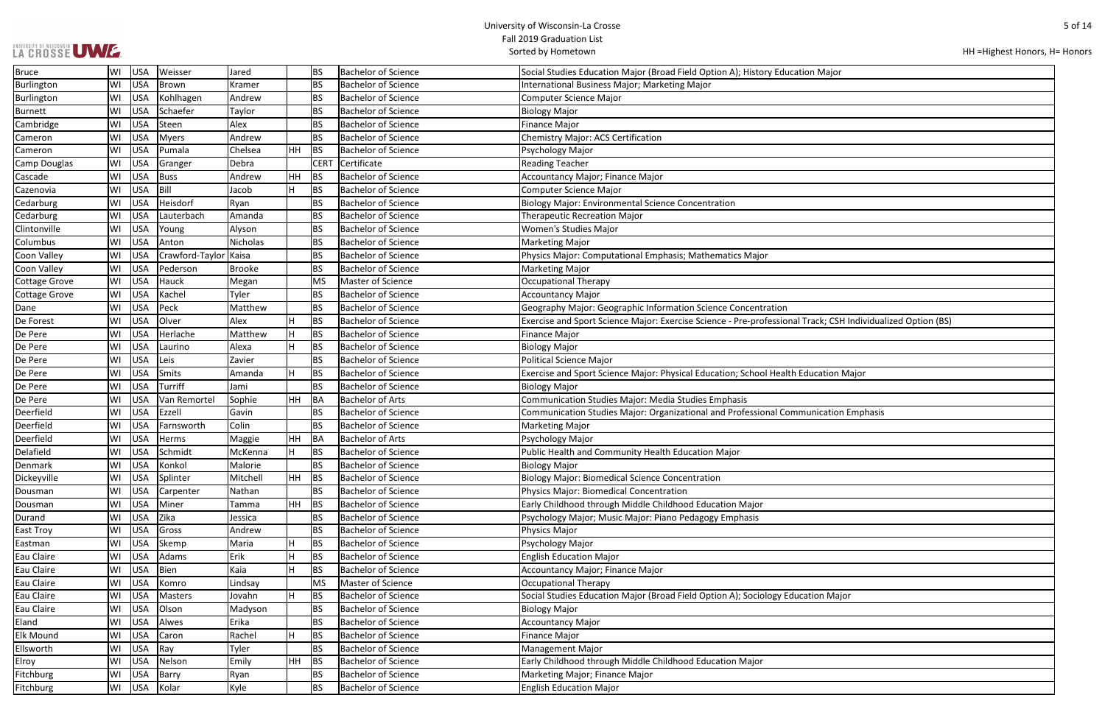| LA CROSSE UME |  |
|---------------|--|
|               |  |

| HH = Highest Honors, H = Honors |  |
|---------------------------------|--|
|---------------------------------|--|

| n Major                             |
|-------------------------------------|
|                                     |
|                                     |
|                                     |
|                                     |
|                                     |
|                                     |
|                                     |
|                                     |
|                                     |
|                                     |
|                                     |
|                                     |
|                                     |
|                                     |
|                                     |
|                                     |
|                                     |
| ack; CSH Individualized Option (BS) |
|                                     |
|                                     |
|                                     |
| cation Major                        |
|                                     |
|                                     |
| nication Emphasis                   |
|                                     |
|                                     |
|                                     |
|                                     |
|                                     |
|                                     |
|                                     |
|                                     |
|                                     |
|                                     |
|                                     |
|                                     |
|                                     |
| ion Major                           |
|                                     |
|                                     |
|                                     |
|                                     |
|                                     |
|                                     |
|                                     |

| <b>Bruce</b>        | WI | <b>USA</b> | Weisser         | Jared         |           | <b>BS</b>   | <b>Bachelor of Science</b> | Social Studies Education Major (Broad Field Option A); History Education Major                              |
|---------------------|----|------------|-----------------|---------------|-----------|-------------|----------------------------|-------------------------------------------------------------------------------------------------------------|
| Burlington          | WI | <b>USA</b> | Brown           | Kramer        |           | <b>BS</b>   | <b>Bachelor of Science</b> | International Business Major; Marketing Major                                                               |
| Burlington          | WI | <b>USA</b> | Kohlhagen       | Andrew        |           | <b>BS</b>   | <b>Bachelor of Science</b> | <b>Computer Science Major</b>                                                                               |
| Burnett             | WI | <b>USA</b> | Schaefer        | Taylor        |           | <b>BS</b>   | <b>Bachelor of Science</b> | <b>Biology Major</b>                                                                                        |
| Cambridge           | WI | <b>USA</b> | Steen           | Alex          |           | <b>BS</b>   | <b>Bachelor of Science</b> | <b>Finance Major</b>                                                                                        |
| Cameron             | WI | <b>USA</b> | Myers           | Andrew        |           | <b>BS</b>   | <b>Bachelor of Science</b> | <b>Chemistry Major: ACS Certification</b>                                                                   |
| Cameron             | WI | <b>USA</b> | Pumala          | Chelsea       | <b>HH</b> | <b>BS</b>   | Bachelor of Science        | Psychology Major                                                                                            |
| <b>Camp Douglas</b> | WI | <b>USA</b> | Granger         | Debra         |           | <b>CERT</b> | Certificate                | <b>Reading Teacher</b>                                                                                      |
| Cascade             | WI | <b>USA</b> | Buss            | Andrew        | HH        | <b>BS</b>   | <b>Bachelor of Science</b> | Accountancy Major; Finance Major                                                                            |
| Cazenovia           | WI | <b>USA</b> | Bill            | Jacob         | H         | <b>BS</b>   | <b>Bachelor of Science</b> | Computer Science Major                                                                                      |
| Cedarburg           | WI | <b>USA</b> | Heisdorf        | Ryan          |           | <b>BS</b>   | <b>Bachelor of Science</b> | <b>Biology Major: Environmental Science Concentration</b>                                                   |
| Cedarburg           | WI | <b>USA</b> | Lauterbach      | Amanda        |           | <b>BS</b>   | <b>Bachelor of Science</b> | <b>Therapeutic Recreation Major</b>                                                                         |
| Clintonville        | WI | <b>USA</b> | Young           | Alyson        |           | <b>BS</b>   | <b>Bachelor of Science</b> | Women's Studies Major                                                                                       |
| Columbus            | WI | <b>USA</b> | Anton           | Nicholas      |           | <b>BS</b>   | <b>Bachelor of Science</b> | <b>Marketing Major</b>                                                                                      |
| Coon Valley         | WI | <b>USA</b> | Crawford-Taylor | Kaisa         |           | <b>BS</b>   | <b>Bachelor of Science</b> | Physics Major: Computational Emphasis; Mathematics Major                                                    |
| <b>Coon Valley</b>  | WI | <b>USA</b> | Pederson        | <b>Brooke</b> |           | <b>BS</b>   | <b>Bachelor of Science</b> | <b>Marketing Major</b>                                                                                      |
| Cottage Grove       | WI | <b>USA</b> | Hauck           | Megan         |           | MS          | Master of Science          | <b>Occupational Therapy</b>                                                                                 |
| Cottage Grove       | WI | <b>USA</b> | Kachel          | Tyler         |           | <b>BS</b>   | <b>Bachelor of Science</b> | <b>Accountancy Major</b>                                                                                    |
| Dane                | WI | <b>USA</b> | Peck            | Matthew       |           | <b>BS</b>   | <b>Bachelor of Science</b> | Geography Major: Geographic Information Science Concentration                                               |
| De Forest           | WI | <b>USA</b> | Olver           | Alex          |           | <b>BS</b>   | <b>Bachelor of Science</b> | Exercise and Sport Science Major: Exercise Science - Pre-professional Track; CSH Individualized Option (BS) |
| De Pere             | WI | <b>USA</b> | Herlache        | Matthew       | H         | <b>BS</b>   | <b>Bachelor of Science</b> | <b>Finance Major</b>                                                                                        |
| De Pere             | WI | <b>USA</b> | Laurino         | Alexa         | H.        | <b>BS</b>   | <b>Bachelor of Science</b> | <b>Biology Major</b>                                                                                        |
| De Pere             | WI | <b>USA</b> | Leis            | Zavier        |           | <b>BS</b>   | <b>Bachelor of Science</b> | <b>Political Science Major</b>                                                                              |
| De Pere             | WI | <b>USA</b> | Smits           | Amanda        | H         | <b>BS</b>   | <b>Bachelor of Science</b> | Exercise and Sport Science Major: Physical Education; School Health Education Major                         |
| De Pere             | WI | <b>USA</b> | Turriff         | Jami          |           | <b>BS</b>   | <b>Bachelor of Science</b> | <b>Biology Major</b>                                                                                        |
| De Pere             | WI | <b>USA</b> | Van Remortel    | Sophie        | <b>HH</b> | BA          | <b>Bachelor of Arts</b>    | Communication Studies Major: Media Studies Emphasis                                                         |
| Deerfield           | WI | <b>USA</b> | Ezzell          | Gavin         |           | <b>BS</b>   | <b>Bachelor of Science</b> | Communication Studies Major: Organizational and Professional Communication Emphasis                         |
| Deerfield           | WI | <b>USA</b> | Farnsworth      | Colin         |           | <b>BS</b>   | <b>Bachelor of Science</b> | <b>Marketing Major</b>                                                                                      |
| Deerfield           | WI | <b>USA</b> | Herms           | Maggie        | HH        | BA          | <b>Bachelor of Arts</b>    | Psychology Major                                                                                            |
| Delafield           | WI | <b>USA</b> | Schmidt         | McKenna       | н         | <b>BS</b>   | <b>Bachelor of Science</b> | Public Health and Community Health Education Major                                                          |
| Denmark             | WI | <b>USA</b> | Konkol          | Malorie       |           | <b>BS</b>   | <b>Bachelor of Science</b> | <b>Biology Major</b>                                                                                        |
| Dickeyville         | WI | <b>USA</b> | Splinter        | Mitchell      | HH.       | BS          | <b>Bachelor of Science</b> | <b>Biology Major: Biomedical Science Concentration</b>                                                      |
| Dousman             | WI | <b>USA</b> | Carpenter       | Nathan        |           | <b>BS</b>   | <b>Bachelor of Science</b> | <b>Physics Major: Biomedical Concentration</b>                                                              |
| Dousman             | WI | <b>USA</b> | Miner           | Tamma         | <b>HH</b> | BS          | <b>Bachelor of Science</b> | Early Childhood through Middle Childhood Education Major                                                    |
| Durand              | WI | <b>USA</b> | Zika            | Jessica       |           | <b>BS</b>   | <b>Bachelor of Science</b> | Psychology Major; Music Major: Piano Pedagogy Emphasis                                                      |
| <b>East Troy</b>    | WI | <b>USA</b> | Gross           | Andrew        |           | <b>BS</b>   | <b>Bachelor of Science</b> | Physics Major                                                                                               |
| Eastman             | WI | <b>USA</b> | Skemp           | Maria         | H.        | <b>BS</b>   | <b>Bachelor of Science</b> | Psychology Major                                                                                            |
| Eau Claire          | WI | <b>USA</b> | Adams           | Erik          | H         | <b>BS</b>   | <b>Bachelor of Science</b> | <b>English Education Major</b>                                                                              |
| Eau Claire          | WI | <b>USA</b> | Bien            | Kaia          | H         | <b>BS</b>   | <b>Bachelor of Science</b> | Accountancy Major; Finance Major                                                                            |
| Eau Claire          | WI | <b>USA</b> | Komro           | Lindsay       |           | MS          | Master of Science          | <b>Occupational Therapy</b>                                                                                 |
| Eau Claire          | WI | <b>USA</b> | Masters         | Jovahn        | H         | BS          | <b>Bachelor of Science</b> | Social Studies Education Major (Broad Field Option A); Sociology Education Major                            |
| Eau Claire          | WI | <b>USA</b> | Olson           | Madyson       |           | <b>BS</b>   | <b>Bachelor of Science</b> | <b>Biology Major</b>                                                                                        |
| Eland               | WI | <b>USA</b> | Alwes           | Erika         |           | <b>BS</b>   | <b>Bachelor of Science</b> | <b>Accountancy Major</b>                                                                                    |
| <b>Elk Mound</b>    | WI | <b>USA</b> | Caron           | Rachel        | H         | <b>BS</b>   | <b>Bachelor of Science</b> | <b>Finance Major</b>                                                                                        |
| Ellsworth           | WI | <b>USA</b> | Ray             | Tyler         |           | <b>BS</b>   | <b>Bachelor of Science</b> | <b>Management Major</b>                                                                                     |
| Elroy               | WI | <b>USA</b> | Nelson          | Emily         | HH        | BS          | <b>Bachelor of Science</b> | Early Childhood through Middle Childhood Education Major                                                    |
| Fitchburg           | WI | <b>USA</b> | Barry           | Ryan          |           | <b>BS</b>   | <b>Bachelor of Science</b> | Marketing Major; Finance Major                                                                              |
| Fitchburg           | WI | USA        | Kolar           | Kyle          |           | <b>BS</b>   | <b>Bachelor of Science</b> | <b>English Education Major</b>                                                                              |
|                     |    |            |                 |               |           |             |                            |                                                                                                             |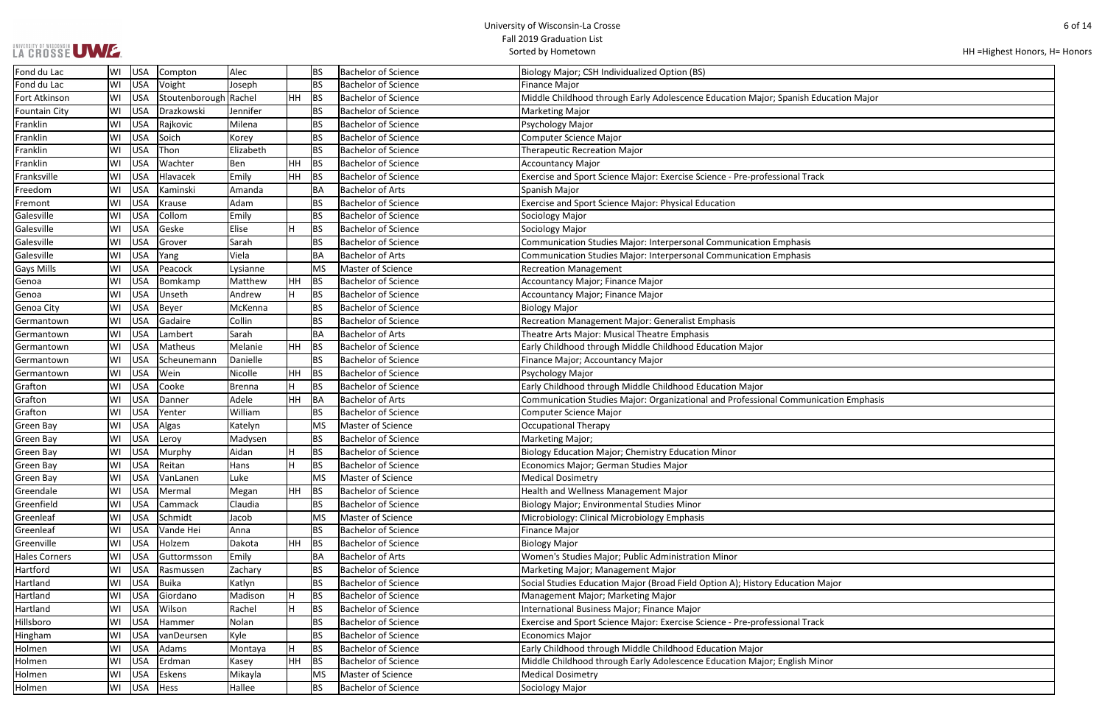| LA GROSSE UWE |  |  |
|---------------|--|--|
|               |  |  |

| HH = Highest Honors, H = Honors |  |
|---------------------------------|--|
|---------------------------------|--|

| <b>Education Major</b> |  |
|------------------------|--|
|                        |  |
|                        |  |
|                        |  |
|                        |  |
|                        |  |
|                        |  |
| ack                    |  |
|                        |  |
|                        |  |
|                        |  |
|                        |  |
|                        |  |
|                        |  |
|                        |  |
|                        |  |
|                        |  |
|                        |  |
|                        |  |
|                        |  |
|                        |  |
|                        |  |
|                        |  |
|                        |  |
|                        |  |
|                        |  |
|                        |  |
|                        |  |
|                        |  |
|                        |  |
|                        |  |
| nication Emphasis      |  |
|                        |  |
|                        |  |
|                        |  |
|                        |  |
|                        |  |
|                        |  |
|                        |  |
|                        |  |
|                        |  |
|                        |  |
|                        |  |
|                        |  |
|                        |  |
|                        |  |
| n Major                |  |
|                        |  |
|                        |  |
|                        |  |
| ack                    |  |
|                        |  |
|                        |  |
| Minor                  |  |
|                        |  |

| Fond du Lac          | WI | USA        | Compton        | Alec          |     | <b>BS</b> | <b>Bachelor of Science</b> | Biology Major; CSH Individualized Option (BS)                                       |
|----------------------|----|------------|----------------|---------------|-----|-----------|----------------------------|-------------------------------------------------------------------------------------|
| Fond du Lac          | WI | <b>USA</b> | Voight         | Joseph        |     | <b>BS</b> | <b>Bachelor of Science</b> | Finance Major                                                                       |
| Fort Atkinson        | WI | <b>USA</b> | Stoutenborough | Rachel        | HH. | BS        | <b>Bachelor of Science</b> | Middle Childhood through Early Adolescence Education Major; Spanish Education Major |
| <b>Fountain City</b> | WI | <b>USA</b> | Drazkowski     | Jennifer      |     | <b>BS</b> | <b>Bachelor of Science</b> | <b>Marketing Major</b>                                                              |
| Franklin             | WI | <b>USA</b> | Rajkovic       | Milena        |     | <b>BS</b> | <b>Bachelor of Science</b> | Psychology Major                                                                    |
| Franklin             | WI | <b>USA</b> | Soich          | Korey         |     | <b>BS</b> | <b>Bachelor of Science</b> | Computer Science Major                                                              |
| Franklin             | WI | <b>USA</b> | Thon           | Elizabeth     |     | <b>BS</b> | <b>Bachelor of Science</b> | <b>Therapeutic Recreation Major</b>                                                 |
| Franklin             | WI | <b>USA</b> | Wachter        | Ben           | HH  | BS        | <b>Bachelor of Science</b> | <b>Accountancy Major</b>                                                            |
| Franksville          | WI | <b>USA</b> | Hlavacek       | Emily         | HH. | BS        | <b>Bachelor of Science</b> | Exercise and Sport Science Major: Exercise Science - Pre-professional Track         |
| Freedom              | WI | <b>USA</b> | Kaminski       | Amanda        |     | <b>BA</b> | <b>Bachelor of Arts</b>    | Spanish Major                                                                       |
| Fremont              | WI | <b>USA</b> | Krause         | Adam          |     | <b>BS</b> | <b>Bachelor of Science</b> | Exercise and Sport Science Major: Physical Education                                |
| Galesville           | WI | <b>USA</b> | Collom         | Emily         |     | <b>BS</b> | <b>Bachelor of Science</b> | Sociology Major                                                                     |
| Galesville           | WI | <b>USA</b> | Geske          | Elise         | Н   | BS        | <b>Bachelor of Science</b> | Sociology Major                                                                     |
| Galesville           | WI | <b>USA</b> | Grover         | Sarah         |     | <b>BS</b> | <b>Bachelor of Science</b> | Communication Studies Major: Interpersonal Communication Emphasis                   |
| Galesville           | WI | <b>USA</b> | Yang           | Viela         |     | <b>BA</b> | <b>Bachelor of Arts</b>    | Communication Studies Major: Interpersonal Communication Emphasis                   |
| <b>Gays Mills</b>    | WI | <b>USA</b> | Peacock        | Lysianne      |     | <b>MS</b> | Master of Science          | <b>Recreation Management</b>                                                        |
| Genoa                | WI | <b>USA</b> | Bomkamp        | Matthew       | HH  | BS        | <b>Bachelor of Science</b> | Accountancy Major; Finance Major                                                    |
| Genoa                | WI | <b>USA</b> | Unseth         | Andrew        |     | <b>BS</b> | <b>Bachelor of Science</b> | Accountancy Major; Finance Major                                                    |
| Genoa City           | WI | <b>USA</b> | <b>Beyer</b>   | McKenna       |     | <b>BS</b> | <b>Bachelor of Science</b> | <b>Biology Major</b>                                                                |
| Germantown           | WI | <b>USA</b> | Gadaire        | Collin        |     | <b>BS</b> | <b>Bachelor of Science</b> | Recreation Management Major: Generalist Emphasis                                    |
| Germantown           | WI | <b>USA</b> | Lambert        | Sarah         |     | <b>BA</b> | <b>Bachelor of Arts</b>    | Theatre Arts Major: Musical Theatre Emphasis                                        |
| Germantown           | WI | <b>USA</b> | Matheus        | Melanie       | HH  | BS        | <b>Bachelor of Science</b> | Early Childhood through Middle Childhood Education Major                            |
| Germantown           | WI | <b>USA</b> | Scheunemann    | Danielle      |     | <b>BS</b> | <b>Bachelor of Science</b> | Finance Major; Accountancy Major                                                    |
| Germantown           | WI | <b>USA</b> | Wein           | Nicolle       | HH  | BS        | <b>Bachelor of Science</b> | Psychology Major                                                                    |
| Grafton              | WI | <b>USA</b> | Cooke          | <b>Brenna</b> | Н   | <b>BS</b> | <b>Bachelor of Science</b> | Early Childhood through Middle Childhood Education Major                            |
| Grafton              | WI | <b>USA</b> | Danner         | Adele         | HH. | BA        | <b>Bachelor of Arts</b>    | Communication Studies Major: Organizational and Professional Communication Emphasis |
| Grafton              | WI | <b>USA</b> | Yenter         | William       |     | <b>BS</b> | <b>Bachelor of Science</b> | Computer Science Major                                                              |
| Green Bay            | WI | <b>USA</b> | Algas          | Katelyn       |     | <b>MS</b> | Master of Science          | <b>Occupational Therapy</b>                                                         |
| Green Bay            | WI | <b>USA</b> | Leroy          | Madysen       |     | <b>BS</b> | <b>Bachelor of Science</b> | Marketing Major;                                                                    |
| Green Bay            | WI | <b>USA</b> | Murphy         | Aidan         |     | <b>BS</b> | <b>Bachelor of Science</b> | Biology Education Major; Chemistry Education Minor                                  |
| <b>Green Bay</b>     | WI | <b>USA</b> | Reitan         | Hans          |     | <b>BS</b> | <b>Bachelor of Science</b> | Economics Major; German Studies Major                                               |
| <b>Green Bay</b>     | WI | USA        | VanLanen       | Luke          |     | <b>MS</b> | Master of Science          | <b>Medical Dosimetry</b>                                                            |
| Greendale            | WI | <b>USA</b> | Mermal         | Megan         | HH. | BS        | <b>Bachelor of Science</b> | Health and Wellness Management Major                                                |
| Greenfield           | WI | USA        | Cammack        | Claudia       |     | <b>BS</b> | <b>Bachelor of Science</b> | Biology Major; Environmental Studies Minor                                          |
| Greenleaf            | WI | <b>USA</b> | Schmidt        | Jacob         |     | <b>MS</b> | Master of Science          | Microbiology: Clinical Microbiology Emphasis                                        |
| Greenleaf            | WI | <b>USA</b> | Vande Hei      | Anna          |     | <b>BS</b> | <b>Bachelor of Science</b> | <b>Finance Major</b>                                                                |
| Greenville           | WI | <b>USA</b> | Holzem         | Dakota        | HH  | BS        | <b>Bachelor of Science</b> | <b>Biology Major</b>                                                                |
| <b>Hales Corners</b> | WI | <b>USA</b> | Guttormsson    | Emily         |     | <b>BA</b> | <b>Bachelor of Arts</b>    | Women's Studies Major; Public Administration Minor                                  |
| Hartford             | WI | <b>USA</b> | Rasmussen      | Zachary       |     | <b>BS</b> | <b>Bachelor of Science</b> | Marketing Major; Management Major                                                   |
| Hartland             | WI | <b>USA</b> | Buika          | Katlyn        |     | <b>BS</b> | <b>Bachelor of Science</b> | Social Studies Education Major (Broad Field Option A); History Education Major      |
| Hartland             | WI | <b>USA</b> | Giordano       | Madison       | H.  | BS        | <b>Bachelor of Science</b> | Management Major; Marketing Major                                                   |
| Hartland             | WI | <b>USA</b> | Wilson         | Rachel        | H.  | <b>BS</b> | <b>Bachelor of Science</b> | International Business Major; Finance Major                                         |
| Hillsboro            | WI | <b>USA</b> | Hammer         | Nolan         |     | <b>BS</b> | <b>Bachelor of Science</b> | Exercise and Sport Science Major: Exercise Science - Pre-professional Track         |
| Hingham              | WI | <b>USA</b> | vanDeursen     | Kyle          |     | <b>BS</b> | <b>Bachelor of Science</b> | <b>Economics Major</b>                                                              |
| Holmen               | WI | <b>USA</b> | Adams          | Montaya       | н   | <b>BS</b> | <b>Bachelor of Science</b> | Early Childhood through Middle Childhood Education Major                            |
| Holmen               | WI | USA        | Erdman         | Kasey         | HH  | BS        | <b>Bachelor of Science</b> | Middle Childhood through Early Adolescence Education Major; English Minor           |
| Holmen               | WI | <b>USA</b> | Eskens         | Mikayla       |     | <b>MS</b> | Master of Science          | <b>Medical Dosimetry</b>                                                            |
| Holmen               | WI | USA        | Hess           | Hallee        |     | <b>BS</b> | <b>Bachelor of Science</b> | Sociology Major                                                                     |
|                      |    |            |                |               |     |           |                            |                                                                                     |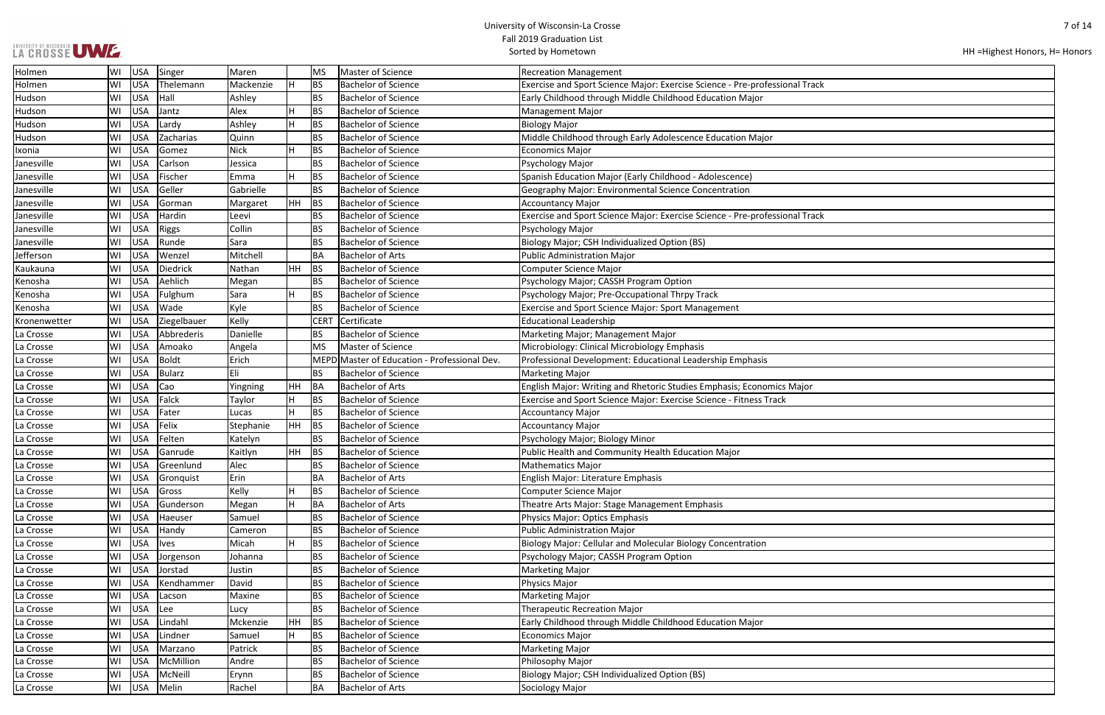# UNIVERSITY OF WISCONSIN UWWF.

| HH = Highest Honors, H = Honors |  |
|---------------------------------|--|
|---------------------------------|--|

| $\overline{\mathsf{ack}}$ |  |
|---------------------------|--|
|                           |  |
|                           |  |
|                           |  |
|                           |  |
|                           |  |
|                           |  |
|                           |  |
|                           |  |
|                           |  |
|                           |  |
|                           |  |
| ack                       |  |
|                           |  |
|                           |  |
|                           |  |
|                           |  |
|                           |  |
|                           |  |
|                           |  |
|                           |  |
|                           |  |
|                           |  |
|                           |  |
|                           |  |
|                           |  |
|                           |  |
| ٢                         |  |
|                           |  |
|                           |  |
|                           |  |
|                           |  |
|                           |  |
|                           |  |
|                           |  |
|                           |  |
|                           |  |
|                           |  |
|                           |  |
|                           |  |
|                           |  |
|                           |  |
|                           |  |
|                           |  |
|                           |  |
|                           |  |
|                           |  |
|                           |  |
|                           |  |
|                           |  |
|                           |  |
|                           |  |
|                           |  |
|                           |  |
|                           |  |

| Holmen       | WI  | <b>USA</b> | Singer        | Maren       |           | MS          | Master of Science                            | <b>Recreation Management</b>                                                |
|--------------|-----|------------|---------------|-------------|-----------|-------------|----------------------------------------------|-----------------------------------------------------------------------------|
| Holmen       | WI  | <b>USA</b> | Thelemann     | Mackenzie   | H         | <b>BS</b>   | <b>Bachelor of Science</b>                   | Exercise and Sport Science Major: Exercise Science - Pre-professional Track |
| Hudson       | WI  | <b>USA</b> | Hall          | Ashley      |           | <b>BS</b>   | <b>Bachelor of Science</b>                   | Early Childhood through Middle Childhood Education Major                    |
| Hudson       | WI  | <b>USA</b> | Jantz         | Alex        | H         | <b>BS</b>   | <b>Bachelor of Science</b>                   | <b>Management Major</b>                                                     |
| Hudson       | WI  | <b>USA</b> | Lardy         | Ashley      | н         | <b>BS</b>   | <b>Bachelor of Science</b>                   | <b>Biology Major</b>                                                        |
| Hudson       | WI  | <b>USA</b> | Zacharias     | Quinn       |           | <b>BS</b>   | <b>Bachelor of Science</b>                   | Middle Childhood through Early Adolescence Education Major                  |
| Ixonia       | WI  | <b>USA</b> | Gomez         | <b>Nick</b> |           | <b>BS</b>   | <b>Bachelor of Science</b>                   | <b>Economics Major</b>                                                      |
| Janesville   | WI  | <b>USA</b> | Carlson       | Jessica     |           | <b>BS</b>   | <b>Bachelor of Science</b>                   | Psychology Major                                                            |
| Janesville   | WI  | <b>USA</b> | Fischer       | Emma        | Н         | BS          | <b>Bachelor of Science</b>                   | Spanish Education Major (Early Childhood - Adolescence)                     |
| Janesville   | lwı | <b>USA</b> | Geller        | Gabrielle   |           | <b>BS</b>   | <b>Bachelor of Science</b>                   | Geography Major: Environmental Science Concentration                        |
| Janesville   | lwı | <b>USA</b> | Gorman        | Margaret    | HH        | <b>BS</b>   | <b>Bachelor of Science</b>                   | <b>Accountancy Major</b>                                                    |
| Janesville   | WI  | <b>USA</b> | Hardin        | Leevi       |           | BS          | <b>Bachelor of Science</b>                   | Exercise and Sport Science Major: Exercise Science - Pre-professional Track |
| Janesville   | WI  | <b>USA</b> | <b>Riggs</b>  | Collin      |           | <b>BS</b>   | <b>Bachelor of Science</b>                   | Psychology Major                                                            |
| Janesville   | WI  | <b>USA</b> | Runde         | Sara        |           | <b>BS</b>   | <b>Bachelor of Science</b>                   | Biology Major; CSH Individualized Option (BS)                               |
| Jefferson    | WI  | <b>USA</b> | Wenzel        | Mitchell    |           | <b>BA</b>   | <b>Bachelor of Arts</b>                      | <b>Public Administration Major</b>                                          |
| Kaukauna     | WI  | <b>USA</b> | Diedrick      | Nathan      | <b>HH</b> | <b>BS</b>   | <b>Bachelor of Science</b>                   | Computer Science Major                                                      |
| Kenosha      | WI  | <b>USA</b> | Aehlich       | Megan       |           | <b>BS</b>   | <b>Bachelor of Science</b>                   | Psychology Major; CASSH Program Option                                      |
| Kenosha      | WI  | <b>USA</b> | Fulghum       | Sara        | н         | <b>BS</b>   | <b>Bachelor of Science</b>                   | Psychology Major; Pre-Occupational Thrpy Track                              |
| Kenosha      | WI  | <b>USA</b> | Wade          | Kyle        |           | BS          | <b>Bachelor of Science</b>                   | Exercise and Sport Science Major: Sport Management                          |
| Kronenwetter | WI  | <b>USA</b> | Ziegelbauer   | Kelly       |           | <b>CERT</b> | Certificate                                  | <b>Educational Leadership</b>                                               |
| La Crosse    | WI  | <b>USA</b> | Abbrederis    | Danielle    |           | ΒS          | <b>Bachelor of Science</b>                   | Marketing Major; Management Major                                           |
| La Crosse    | WI  | <b>USA</b> | Amoako        | Angela      |           | <b>MS</b>   | Master of Science                            | Microbiology: Clinical Microbiology Emphasis                                |
| La Crosse    | WI  | <b>USA</b> | Boldt         | Erich       |           |             | MEPD Master of Education - Professional Dev. | Professional Development: Educational Leadership Emphasis                   |
| La Crosse    | WI  | <b>USA</b> | Bularz        | Eli         |           | <b>BS</b>   | <b>Bachelor of Science</b>                   | <b>Marketing Major</b>                                                      |
| La Crosse    | WI  | <b>USA</b> | Cao           | Yingning    | <b>HH</b> | <b>BA</b>   | <b>Bachelor of Arts</b>                      | English Major: Writing and Rhetoric Studies Emphasis; Economics Major       |
| La Crosse    | WI  | <b>USA</b> | Falck         | Taylor      | н         | <b>BS</b>   | <b>Bachelor of Science</b>                   | Exercise and Sport Science Major: Exercise Science - Fitness Track          |
| La Crosse    | WI  | <b>USA</b> | Fater         | Lucas       | н         | <b>BS</b>   | <b>Bachelor of Science</b>                   | <b>Accountancy Major</b>                                                    |
| La Crosse    | WI  | <b>USA</b> | Felix         | Stephanie   | HH        | <b>BS</b>   | <b>Bachelor of Science</b>                   | <b>Accountancy Major</b>                                                    |
| La Crosse    | lwı | <b>USA</b> | Felten        | Katelyn     |           | <b>BS</b>   | <b>Bachelor of Science</b>                   | Psychology Major; Biology Minor                                             |
| La Crosse    | WI  | <b>USA</b> | Ganrude       | Kaitlyn     | HH        | <b>BS</b>   | <b>Bachelor of Science</b>                   | Public Health and Community Health Education Major                          |
| La Crosse    | WI  | <b>USA</b> | Greenlund     | Alec        |           | BS          | <b>Bachelor of Science</b>                   | <b>Mathematics Major</b>                                                    |
| La Crosse    | WI  |            | USA Gronquist | Erin        |           | <b>BA</b>   | <b>Bachelor of Arts</b>                      | English Major: Literature Emphasis                                          |
| La Crosse    | WI  | <b>USA</b> | Gross         | Kelly       |           | <b>BS</b>   | <b>Bachelor of Science</b>                   | Computer Science Major                                                      |
| La Crosse    | lwı | <b>USA</b> | Gunderson     | Megan       | H         | BA          | <b>Bachelor of Arts</b>                      | Theatre Arts Major: Stage Management Emphasis                               |
| La Crosse    | WI  | <b>USA</b> | Haeuser       | Samuel      |           | <b>BS</b>   | <b>Bachelor of Science</b>                   | Physics Major: Optics Emphasis                                              |
| La Crosse    | WI  | <b>USA</b> | Handy         | Cameron     |           | <b>BS</b>   | <b>Bachelor of Science</b>                   | <b>Public Administration Major</b>                                          |
| La Crosse    | WI  | <b>USA</b> | <b>lves</b>   | Micah       | H         | <b>BS</b>   | <b>Bachelor of Science</b>                   | Biology Major: Cellular and Molecular Biology Concentration                 |
| La Crosse    | WI  | <b>USA</b> | Jorgenson     | Johanna     |           | BS          | <b>Bachelor of Science</b>                   | Psychology Major; CASSH Program Option                                      |
| La Crosse    | WI  | <b>USA</b> | Jorstad       | Justin      |           | BS          | <b>Bachelor of Science</b>                   | <b>Marketing Major</b>                                                      |
| La Crosse    | WI  | <b>USA</b> | Kendhammer    | David       |           | ΒS          | <b>Bachelor of Science</b>                   | Physics Major                                                               |
| La Crosse    | lwı | <b>USA</b> | Lacson        | Maxine      |           | <b>BS</b>   | <b>Bachelor of Science</b>                   | <b>Marketing Major</b>                                                      |
| La Crosse    | WI  | <b>USA</b> | Lee           | Lucy        |           | ΒS          | <b>Bachelor of Science</b>                   | <b>Therapeutic Recreation Major</b>                                         |
| La Crosse    | WI  | <b>USA</b> | Lindahl       | Mckenzie    | HH        | <b>BS</b>   | <b>Bachelor of Science</b>                   | Early Childhood through Middle Childhood Education Major                    |
| La Crosse    | WI  | <b>USA</b> | Lindner       | Samuel      | н         | <b>BS</b>   | <b>Bachelor of Science</b>                   | <b>Economics Major</b>                                                      |
| La Crosse    | WI  | <b>USA</b> | Marzano       | Patrick     |           | ΒS          | <b>Bachelor of Science</b>                   | <b>Marketing Major</b>                                                      |
| La Crosse    | WI  | <b>USA</b> | McMillion     | Andre       |           | <b>BS</b>   | <b>Bachelor of Science</b>                   | Philosophy Major                                                            |
| La Crosse    | WI  | <b>USA</b> | McNeill       | Erynn       |           | ΒS          | <b>Bachelor of Science</b>                   | Biology Major; CSH Individualized Option (BS)                               |
| La Crosse    | WI  | <b>USA</b> | Melin         | Rachel      |           | BA          | <b>Bachelor of Arts</b>                      | Sociology Major                                                             |
|              |     |            |               |             |           |             |                                              |                                                                             |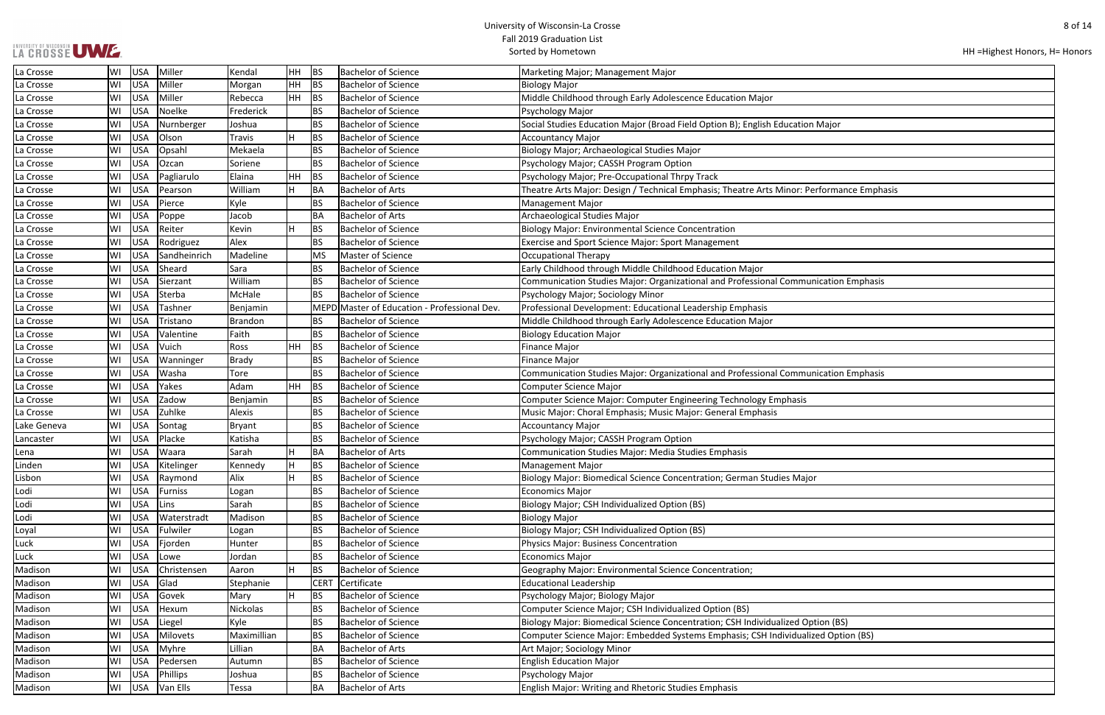|  |  | LA CROSSE UWE. |
|--|--|----------------|
|  |  |                |

| HH = Highest Honors, H = Honors |  |
|---------------------------------|--|
|---------------------------------|--|

| ı Major             |
|---------------------|
|                     |
|                     |
|                     |
|                     |
|                     |
| erformance Emphasis |
|                     |
|                     |
|                     |
|                     |
|                     |
|                     |
|                     |
| nication Emphasis   |
|                     |
|                     |
|                     |
|                     |
|                     |
|                     |
|                     |
| nication Emphasis   |
|                     |
|                     |
|                     |
|                     |
|                     |
|                     |
|                     |
|                     |
| r                   |
|                     |
|                     |
|                     |
|                     |
|                     |
|                     |
|                     |
|                     |
|                     |
|                     |
|                     |
| tion (BS)           |
| zed Option (BS)     |
|                     |
|                     |
|                     |
|                     |
|                     |

| La Crosse   | WI | USA        | Miller          | Kendal      | <b>HH</b> | BS          | <b>Bachelor of Science</b>                   | Marketing Major; Management Major                                                         |
|-------------|----|------------|-----------------|-------------|-----------|-------------|----------------------------------------------|-------------------------------------------------------------------------------------------|
| La Crosse   | WI | <b>USA</b> | Miller          | Morgan      | <b>HH</b> | <b>BS</b>   | <b>Bachelor of Science</b>                   | <b>Biology Major</b>                                                                      |
| La Crosse   | WI | <b>USA</b> | Miller          | Rebecca     | HH        | <b>BS</b>   | <b>Bachelor of Science</b>                   | Middle Childhood through Early Adolescence Education Major                                |
| La Crosse   | WI | <b>USA</b> | Noelke          | Frederick   |           | BS          | <b>Bachelor of Science</b>                   | Psychology Major                                                                          |
| La Crosse   | WI | <b>USA</b> | Nurnberger      | Joshua      |           | BS          | <b>Bachelor of Science</b>                   | Social Studies Education Major (Broad Field Option B); English Education Major            |
| La Crosse   | WI | <b>USA</b> | Olson           | Travis      | H         | <b>BS</b>   | <b>Bachelor of Science</b>                   | <b>Accountancy Major</b>                                                                  |
| La Crosse   | WI | <b>USA</b> | Opsahl          | Mekaela     |           | BS          | <b>Bachelor of Science</b>                   | Biology Major; Archaeological Studies Major                                               |
| La Crosse   | WI | <b>USA</b> | Ozcan           | Soriene     |           | BS          | <b>Bachelor of Science</b>                   | Psychology Major; CASSH Program Option                                                    |
| La Crosse   | WI | <b>USA</b> | Pagliarulo      | Elaina      | <b>HH</b> | <b>BS</b>   | <b>Bachelor of Science</b>                   | Psychology Major; Pre-Occupational Thrpy Track                                            |
| La Crosse   | WI | USA        | Pearson         | William     | H         | BA          | <b>Bachelor of Arts</b>                      | Theatre Arts Major: Design / Technical Emphasis; Theatre Arts Minor: Performance Emphasis |
| La Crosse   | WI | <b>USA</b> | Pierce          | Kyle        |           | BS          | <b>Bachelor of Science</b>                   | <b>Management Major</b>                                                                   |
| La Crosse   | WI | <b>USA</b> | Poppe           | Jacob       |           | BA          | <b>Bachelor of Arts</b>                      | Archaeological Studies Major                                                              |
| La Crosse   | WI | <b>USA</b> | Reiter          | Kevin       | H         | <b>BS</b>   | <b>Bachelor of Science</b>                   | <b>Biology Major: Environmental Science Concentration</b>                                 |
| La Crosse   | WI | <b>USA</b> | Rodriguez       | Alex        |           | BS          | <b>Bachelor of Science</b>                   | Exercise and Sport Science Major: Sport Management                                        |
| La Crosse   | WI | <b>USA</b> | Sandheinrich    | Madeline    |           | <b>MS</b>   | Master of Science                            | <b>Occupational Therapy</b>                                                               |
| La Crosse   | WI | <b>USA</b> | Sheard          | Sara        |           | BS          | <b>Bachelor of Science</b>                   | Early Childhood through Middle Childhood Education Major                                  |
| La Crosse   | WI | <b>USA</b> | Sierzant        | William     |           | BS          | <b>Bachelor of Science</b>                   | Communication Studies Major: Organizational and Professional Communication Emphasis       |
| La Crosse   | WI | <b>USA</b> | Sterba          | McHale      |           | <b>BS</b>   | <b>Bachelor of Science</b>                   | Psychology Major; Sociology Minor                                                         |
| La Crosse   | WI | <b>USA</b> | Tashner         | Benjamin    |           |             | MEPD Master of Education - Professional Dev. | Professional Development: Educational Leadership Emphasis                                 |
| La Crosse   | WI | <b>USA</b> | Tristano        | Brandon     |           | <b>BS</b>   | <b>Bachelor of Science</b>                   | Middle Childhood through Early Adolescence Education Major                                |
| La Crosse   | WI | <b>USA</b> | Valentine       | Faith       |           | BS          | <b>Bachelor of Science</b>                   | <b>Biology Education Major</b>                                                            |
| La Crosse   | WI | <b>USA</b> | Vuich           | Ross        | HH        | <b>BS</b>   | <b>Bachelor of Science</b>                   | <b>Finance Major</b>                                                                      |
| La Crosse   | WI | <b>USA</b> | Wanninger       | Brady       |           | BS          | <b>Bachelor of Science</b>                   | <b>Finance Major</b>                                                                      |
| La Crosse   | WI | <b>USA</b> | Washa           | Tore        |           | <b>BS</b>   | <b>Bachelor of Science</b>                   | Communication Studies Major: Organizational and Professional Communication Emphasis       |
| La Crosse   | WI | <b>USA</b> | Yakes           | Adam        | HH        | <b>BS</b>   | <b>Bachelor of Science</b>                   | Computer Science Major                                                                    |
| La Crosse   | WI | <b>USA</b> | Zadow           | Benjamin    |           | BS          | <b>Bachelor of Science</b>                   | Computer Science Major: Computer Engineering Technology Emphasis                          |
| La Crosse   | WI | <b>USA</b> | Zuhlke          | Alexis      |           | BS          | <b>Bachelor of Science</b>                   | Music Major: Choral Emphasis; Music Major: General Emphasis                               |
| Lake Geneva | WI | <b>USA</b> | Sontag          | Bryant      |           | BS          | <b>Bachelor of Science</b>                   | <b>Accountancy Major</b>                                                                  |
| Lancaster   | WI | USA        | Placke          | Katisha     |           | BS          | <b>Bachelor of Science</b>                   | Psychology Major; CASSH Program Option                                                    |
| Lena        | WI | <b>USA</b> | Waara           | Sarah       | H         | BA          | <b>Bachelor of Arts</b>                      | Communication Studies Major: Media Studies Emphasis                                       |
| Linden      | WI | <b>USA</b> | Kitelinger      | Kennedy     | H         | <b>BS</b>   | <b>Bachelor of Science</b>                   | <b>Management Major</b>                                                                   |
| Lisbon      | WI | USA        | Raymond         | Alix        | H         | BS          | <b>Bachelor of Science</b>                   | Biology Major: Biomedical Science Concentration; German Studies Major                     |
| Lodi        | WI | <b>USA</b> | <b>Furniss</b>  | Logan       |           | BS          | <b>Bachelor of Science</b>                   | <b>Economics Major</b>                                                                    |
| Lodi        | WI | <b>USA</b> | Lins            | Sarah       |           | <b>BS</b>   | <b>Bachelor of Science</b>                   | <b>Biology Major; CSH Individualized Option (BS)</b>                                      |
| Lodi        | WI | <b>USA</b> | Waterstradt     | Madison     |           | <b>BS</b>   | <b>Bachelor of Science</b>                   | <b>Biology Major</b>                                                                      |
| Loyal       | WI | USA        | Fulwiler        | Logan       |           | BS          | <b>Bachelor of Science</b>                   | Biology Major; CSH Individualized Option (BS)                                             |
| Luck        | WI | <b>USA</b> | Fjorden         | Hunter      |           | <b>BS</b>   | <b>Bachelor of Science</b>                   | <b>Physics Major: Business Concentration</b>                                              |
| Luck        | WI | <b>USA</b> | Lowe            | Jordan      |           | BS          | <b>Bachelor of Science</b>                   | <b>Economics Major</b>                                                                    |
| Madison     | WI | <b>USA</b> | Christensen     | Aaron       | H         | <b>BS</b>   | <b>Bachelor of Science</b>                   | Geography Major: Environmental Science Concentration;                                     |
| Madison     | WI | <b>USA</b> | Glad            | Stephanie   |           | <b>CERT</b> | Certificate                                  | <b>Educational Leadership</b>                                                             |
| Madison     | WI | USA        | Govek           | Mary        | H         | <b>BS</b>   | <b>Bachelor of Science</b>                   | Psychology Major; Biology Major                                                           |
| Madison     | WI | <b>USA</b> | Hexum           | Nickolas    |           | <b>BS</b>   | <b>Bachelor of Science</b>                   | Computer Science Major; CSH Individualized Option (BS)                                    |
| Madison     | WI | <b>USA</b> | Liegel          | Kyle        |           | BS          | <b>Bachelor of Science</b>                   | Biology Major: Biomedical Science Concentration; CSH Individualized Option (BS)           |
| Madison     | WI | <b>USA</b> | <b>Milovets</b> | Maximillian |           | <b>BS</b>   | <b>Bachelor of Science</b>                   | Computer Science Major: Embedded Systems Emphasis; CSH Individualized Option (BS)         |
| Madison     | WI | <b>USA</b> | Myhre           | Lillian     |           | BA          | <b>Bachelor of Arts</b>                      | Art Major; Sociology Minor                                                                |
| Madison     | WI | <b>USA</b> | Pedersen        | Autumn      |           | <b>BS</b>   | <b>Bachelor of Science</b>                   | <b>English Education Major</b>                                                            |
| Madison     | WI | <b>USA</b> | Phillips        | Joshua      |           | <b>BS</b>   | <b>Bachelor of Science</b>                   | Psychology Major                                                                          |
| Madison     | WI | <b>USA</b> | Van Ells        | Tessa       |           | BA          | <b>Bachelor of Arts</b>                      | English Major: Writing and Rhetoric Studies Emphasis                                      |
|             |    |            |                 |             |           |             |                                              |                                                                                           |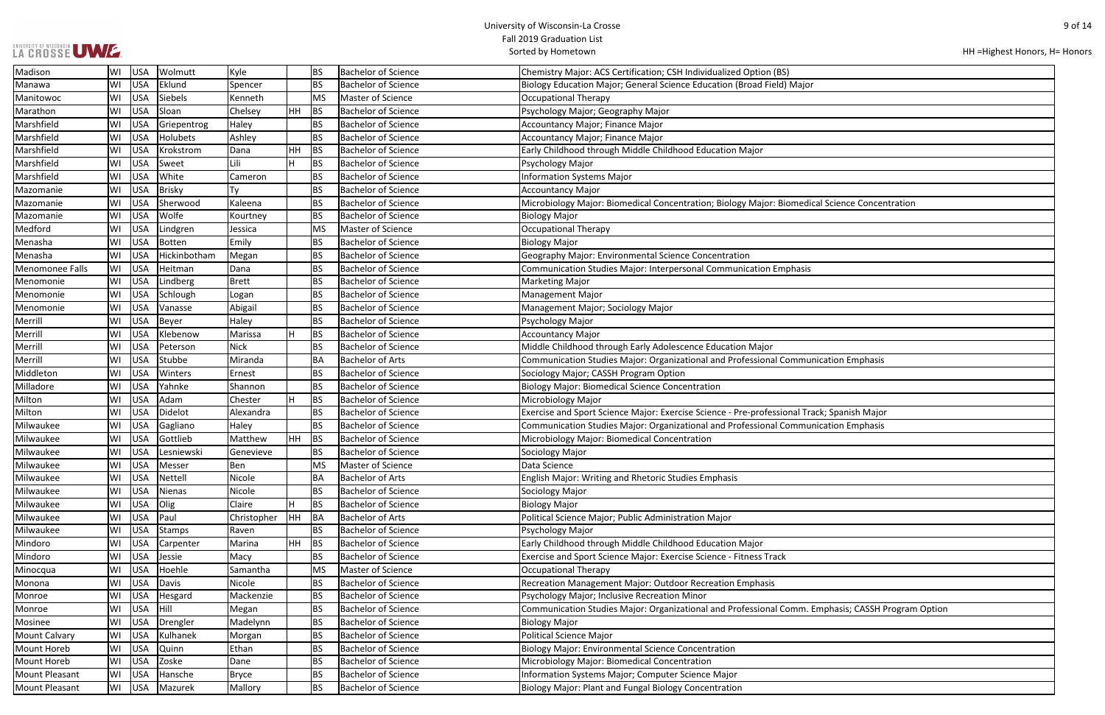| LA CROSSE UWE. |  |
|----------------|--|

| HH = Highest Honors, H = Honors |  |  |
|---------------------------------|--|--|
|---------------------------------|--|--|

| cal Science Concentration             |
|---------------------------------------|
|                                       |
|                                       |
|                                       |
|                                       |
|                                       |
|                                       |
|                                       |
|                                       |
|                                       |
|                                       |
|                                       |
|                                       |
| nication Emphasis                     |
|                                       |
|                                       |
|                                       |
| ack; Spanish Major                    |
| nication Emphasis                     |
|                                       |
|                                       |
|                                       |
|                                       |
|                                       |
|                                       |
|                                       |
|                                       |
|                                       |
|                                       |
|                                       |
|                                       |
|                                       |
|                                       |
| <b>Emphasis; CASSH Program Option</b> |
|                                       |
|                                       |
|                                       |
|                                       |
|                                       |
|                                       |
|                                       |
|                                       |

| Madison               | WI  | <b>USA</b> | Wolmutt      | Kyle        |    | <b>BS</b> | <b>Bachelor of Science</b> | Chemistry Major: ACS Certification; CSH Individualized Option (BS)                                |
|-----------------------|-----|------------|--------------|-------------|----|-----------|----------------------------|---------------------------------------------------------------------------------------------------|
| Manawa                | W١  | <b>USA</b> | Eklund       | Spencer     |    | <b>BS</b> | <b>Bachelor of Science</b> | Biology Education Major; General Science Education (Broad Field) Major                            |
| Manitowoc             | WI  | <b>USA</b> | Siebels      | Kenneth     |    | MS        | Master of Science          | <b>Occupational Therapy</b>                                                                       |
| Marathon              | lWI | <b>USA</b> | Sloan        | Chelsey     | HH | BS        | <b>Bachelor of Science</b> | Psychology Major; Geography Major                                                                 |
| Marshfield            | lwı | <b>USA</b> | Griepentrog  | Haley       |    | BS        | <b>Bachelor of Science</b> | Accountancy Major; Finance Major                                                                  |
| Marshfield            | lwı | <b>USA</b> | Holubets     | Ashley      |    | BS        | <b>Bachelor of Science</b> | <b>Accountancy Major; Finance Major</b>                                                           |
| Marshfield            | lWI | <b>USA</b> | Krokstrom    | Dana        | HH | BS        | <b>Bachelor of Science</b> | Early Childhood through Middle Childhood Education Major                                          |
| Marshfield            | WI  | <b>USA</b> | Sweet        | Lili        | H  | <b>BS</b> | <b>Bachelor of Science</b> | Psychology Major                                                                                  |
| Marshfield            | WI  | <b>USA</b> | White        | Cameron     |    | <b>BS</b> | <b>Bachelor of Science</b> | Information Systems Major                                                                         |
| Mazomanie             | lwı | <b>USA</b> | Brisky       | Ty          |    | BS        | <b>Bachelor of Science</b> | <b>Accountancy Major</b>                                                                          |
| Mazomanie             | lWI | <b>USA</b> | Sherwood     | Kaleena     |    | <b>BS</b> | <b>Bachelor of Science</b> | Microbiology Major: Biomedical Concentration; Biology Major: Biomedical Science Concentration     |
| Mazomanie             | lwı | <b>USA</b> | Wolfe        | Kourtney    |    | <b>BS</b> | <b>Bachelor of Science</b> | <b>Biology Major</b>                                                                              |
| Medford               | WI  | <b>USA</b> | Lindgren     | Jessica     |    | <b>MS</b> | Master of Science          | <b>Occupational Therapy</b>                                                                       |
| Menasha               | WI  | <b>USA</b> | Botten       | Emily       |    | <b>BS</b> | <b>Bachelor of Science</b> | <b>Biology Major</b>                                                                              |
| Menasha               | WI  | <b>USA</b> | Hickinbotham | Megan       |    | <b>BS</b> | <b>Bachelor of Science</b> | Geography Major: Environmental Science Concentration                                              |
| Menomonee Falls       | lWI | <b>USA</b> | Heitman      | Dana        |    | <b>BS</b> | <b>Bachelor of Science</b> | Communication Studies Major: Interpersonal Communication Emphasis                                 |
| Menomonie             | lwı | <b>USA</b> | Lindberg     | Brett       |    | <b>BS</b> | <b>Bachelor of Science</b> | <b>Marketing Major</b>                                                                            |
| Menomonie             | WI  | <b>USA</b> | Schlough     | Logan       |    | <b>BS</b> | <b>Bachelor of Science</b> | <b>Management Major</b>                                                                           |
| Menomonie             | lwı | <b>USA</b> | Vanasse      | Abigail     |    | BS        | <b>Bachelor of Science</b> | Management Major; Sociology Major                                                                 |
| Merrill               | WI  | <b>USA</b> | Beyer        | Haley       |    | BS        | <b>Bachelor of Science</b> | Psychology Major                                                                                  |
| Merrill               | WI  | <b>USA</b> | Klebenow     | Marissa     |    | <b>BS</b> | <b>Bachelor of Science</b> | <b>Accountancy Major</b>                                                                          |
| Merrill               | WI  | <b>USA</b> | Peterson     | <b>Nick</b> |    | <b>BS</b> | <b>Bachelor of Science</b> | Middle Childhood through Early Adolescence Education Major                                        |
| Merrill               | WI  | <b>USA</b> | Stubbe       | Miranda     |    | BA        | <b>Bachelor of Arts</b>    | Communication Studies Major: Organizational and Professional Communication Emphasis               |
| Middleton             | lwı | <b>USA</b> | Winters      | Ernest      |    | BS        | <b>Bachelor of Science</b> | Sociology Major; CASSH Program Option                                                             |
| Milladore             | lwı | <b>USA</b> | Yahnke       | Shannon     |    | BS        | <b>Bachelor of Science</b> | <b>Biology Major: Biomedical Science Concentration</b>                                            |
| Milton                | WI  | <b>USA</b> | Adam         | Chester     | H  | <b>BS</b> | <b>Bachelor of Science</b> | Microbiology Major                                                                                |
| Milton                | WI  | <b>USA</b> | Didelot      | Alexandra   |    | <b>BS</b> | <b>Bachelor of Science</b> | Exercise and Sport Science Major: Exercise Science - Pre-professional Track; Spanish Major        |
| Milwaukee             | WI  | <b>USA</b> | Gagliano     | Haley       |    | <b>BS</b> | <b>Bachelor of Science</b> | Communication Studies Major: Organizational and Professional Communication Emphasis               |
| Milwaukee             | lwı | <b>USA</b> | Gottlieb     | Matthew     | HH | BS        | <b>Bachelor of Science</b> | Microbiology Major: Biomedical Concentration                                                      |
| Milwaukee             | lWI | <b>USA</b> | Lesniewski   | Genevieve   |    | BS        | <b>Bachelor of Science</b> | Sociology Major                                                                                   |
| Milwaukee             | lWI | <b>USA</b> | Messer       | Ben         |    | <b>MS</b> | Master of Science          | Data Science                                                                                      |
| Milwaukee             | WI  | <b>USA</b> | Nettell      | Nicole      |    | BA        | <b>Bachelor of Arts</b>    | <b>English Major: Writing and Rhetoric Studies Emphasis</b>                                       |
| Milwaukee             | lWI | <b>USA</b> | Nienas       | Nicole      |    | <b>BS</b> | <b>Bachelor of Science</b> | Sociology Major                                                                                   |
| Milwaukee             | WI  | <b>USA</b> | Olig         | Claire      | H  | <b>BS</b> | <b>Bachelor of Science</b> | <b>Biology Major</b>                                                                              |
| Milwaukee             | lWI | <b>USA</b> | Paul         | Christopher | HH | BA        | <b>Bachelor of Arts</b>    | Political Science Major; Public Administration Major                                              |
| Milwaukee             | WI  | <b>USA</b> | Stamps       | Raven       |    | <b>BS</b> | <b>Bachelor of Science</b> | Psychology Major                                                                                  |
| Mindoro               | WI  | <b>USA</b> | Carpenter    | Marina      | HH | BS        | <b>Bachelor of Science</b> | Early Childhood through Middle Childhood Education Major                                          |
| Mindoro               | WI  | <b>USA</b> | Jessie       | Macy        |    | <b>BS</b> | <b>Bachelor of Science</b> | Exercise and Sport Science Major: Exercise Science - Fitness Track                                |
| Minocqua              | lWI | <b>USA</b> | Hoehle       | Samantha    |    | <b>MS</b> | Master of Science          | <b>Occupational Therapy</b>                                                                       |
| Monona                | WI  | <b>USA</b> | Davis        | Nicole      |    | BS        | <b>Bachelor of Science</b> | Recreation Management Major: Outdoor Recreation Emphasis                                          |
| Monroe                | WI  | <b>USA</b> | Hesgard      | Mackenzie   |    | BS        | <b>Bachelor of Science</b> | Psychology Major; Inclusive Recreation Minor                                                      |
| Monroe                | WI  | <b>USA</b> | Hill         | Megan       |    | <b>BS</b> | <b>Bachelor of Science</b> | Communication Studies Major: Organizational and Professional Comm. Emphasis; CASSH Program Optior |
| Mosinee               | WI  | <b>USA</b> | Drengler     | Madelynn    |    | BS        | <b>Bachelor of Science</b> | <b>Biology Major</b>                                                                              |
| <b>Mount Calvary</b>  | WI  | <b>USA</b> | Kulhanek     | Morgan      |    | BS        | <b>Bachelor of Science</b> | Political Science Major                                                                           |
| Mount Horeb           | lWI | <b>USA</b> | Quinn        | Ethan       |    | <b>BS</b> | <b>Bachelor of Science</b> | <b>Biology Major: Environmental Science Concentration</b>                                         |
| Mount Horeb           | WI  | <b>USA</b> | Zoske        | Dane        |    | <b>BS</b> | <b>Bachelor of Science</b> | Microbiology Major: Biomedical Concentration                                                      |
| Mount Pleasant        | lWI | <b>USA</b> | Hansche      | Bryce       |    | BS        | <b>Bachelor of Science</b> | Information Systems Major; Computer Science Major                                                 |
| <b>Mount Pleasant</b> | WI  | <b>USA</b> | Mazurek      | Mallory     |    | BS        | <b>Bachelor of Science</b> | Biology Major: Plant and Fungal Biology Concentration                                             |
|                       |     |            |              |             |    |           |                            |                                                                                                   |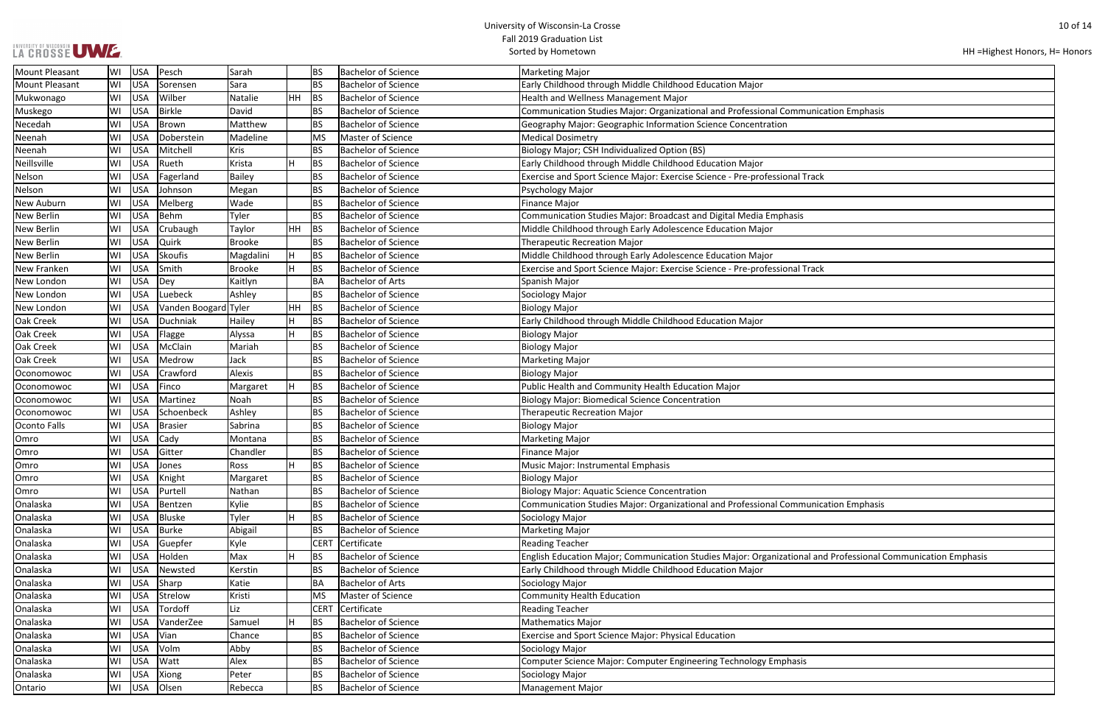|  |  | LA CROSSE UWE. |  |
|--|--|----------------|--|
|  |  |                |  |

| HH = Highest Honors, H = Honors |  |  |  |
|---------------------------------|--|--|--|
|---------------------------------|--|--|--|

| nication Emphasis                       |
|-----------------------------------------|
|                                         |
|                                         |
|                                         |
|                                         |
| ack                                     |
|                                         |
|                                         |
|                                         |
|                                         |
|                                         |
|                                         |
|                                         |
| ack                                     |
|                                         |
|                                         |
|                                         |
|                                         |
|                                         |
|                                         |
|                                         |
|                                         |
|                                         |
|                                         |
|                                         |
|                                         |
|                                         |
|                                         |
|                                         |
|                                         |
|                                         |
|                                         |
| nication Emphasis                       |
|                                         |
|                                         |
|                                         |
| and Professional Communication Emphasis |
|                                         |
|                                         |
|                                         |
|                                         |
|                                         |
|                                         |
|                                         |
|                                         |
|                                         |
|                                         |
|                                         |

| <b>Mount Pleasant</b> | WI | USA        | Pesch                | Sarah         |    | BS          | <b>Bachelor of Science</b> | <b>Marketing Major</b>                                                                                       |
|-----------------------|----|------------|----------------------|---------------|----|-------------|----------------------------|--------------------------------------------------------------------------------------------------------------|
| <b>Mount Pleasant</b> | WI | <b>USA</b> | Sorensen             | Sara          |    | <b>BS</b>   | Bachelor of Science        | Early Childhood through Middle Childhood Education Major                                                     |
| Mukwonago             | WI | <b>USA</b> | Wilber               | Natalie       | HH | BS          | <b>Bachelor of Science</b> | Health and Wellness Management Major                                                                         |
| Muskego               | WI | <b>USA</b> | <b>Birkle</b>        | David         |    | <b>BS</b>   | <b>Bachelor of Science</b> | Communication Studies Major: Organizational and Professional Communication Emphasis                          |
| Necedah               | WI | <b>USA</b> | Brown                | Matthew       |    | <b>BS</b>   | Bachelor of Science        | Geography Major: Geographic Information Science Concentration                                                |
| Neenah                | WI | USA        | Doberstein           | Madeline      |    | <b>MS</b>   | Master of Science          | <b>Medical Dosimetry</b>                                                                                     |
| Neenah                | WI | <b>USA</b> | Mitchell             | <b>Kris</b>   |    | <b>BS</b>   | <b>Bachelor of Science</b> | Biology Major; CSH Individualized Option (BS)                                                                |
| Neillsville           | WI | <b>USA</b> | Rueth                | Krista        | Н  | BS          | <b>Bachelor of Science</b> | Early Childhood through Middle Childhood Education Major                                                     |
| Nelson                | WI | <b>USA</b> | Fagerland            | Bailey        |    | <b>BS</b>   | <b>Bachelor of Science</b> | Exercise and Sport Science Major: Exercise Science - Pre-professional Track                                  |
| Nelson                | WI | <b>USA</b> | Johnson              | Megan         |    | <b>BS</b>   | <b>Bachelor of Science</b> | Psychology Major                                                                                             |
| <b>New Auburn</b>     | WI | <b>USA</b> | Melberg              | Wade          |    | l BS        | <b>Bachelor of Science</b> | <b>Finance Major</b>                                                                                         |
| <b>New Berlin</b>     | WI | <b>USA</b> | <b>Behm</b>          | Tyler         |    | <b>BS</b>   | <b>Bachelor of Science</b> | Communication Studies Major: Broadcast and Digital Media Emphasis                                            |
| <b>New Berlin</b>     | WI | <b>USA</b> | Crubaugh             | Taylor        | HН | BS          | <b>Bachelor of Science</b> | Middle Childhood through Early Adolescence Education Major                                                   |
| <b>New Berlin</b>     | WI | <b>USA</b> | Quirk                | Brooke        |    | <b>BS</b>   | <b>Bachelor of Science</b> | <b>Therapeutic Recreation Major</b>                                                                          |
| <b>New Berlin</b>     | WI | <b>USA</b> | <b>Skoufis</b>       | Magdalini     | Iн | BS          | Bachelor of Science        | Middle Childhood through Early Adolescence Education Major                                                   |
| New Franken           | WI | <b>USA</b> | Smith                | <b>Brooke</b> |    | <b>BS</b>   | <b>Bachelor of Science</b> | Exercise and Sport Science Major: Exercise Science - Pre-professional Track                                  |
| New London            | WI | <b>USA</b> | Dey                  | Kaitlyn       |    | BA          | <b>Bachelor of Arts</b>    | Spanish Major                                                                                                |
| New London            | WI | USA        | Luebeck              | Ashley        |    | <b>BS</b>   | <b>Bachelor of Science</b> | Sociology Major                                                                                              |
| New London            | WI | <b>USA</b> | Vanden Boogard Tyler |               | HH | BS          | <b>Bachelor of Science</b> | <b>Biology Major</b>                                                                                         |
| <b>Oak Creek</b>      | WI | <b>USA</b> | Duchniak             | Hailey        |    | BS          | <b>Bachelor of Science</b> | Early Childhood through Middle Childhood Education Major                                                     |
| <b>Oak Creek</b>      | WI | <b>USA</b> | Flagge               | Alyssa        |    | BS          | <b>Bachelor of Science</b> | <b>Biology Major</b>                                                                                         |
| <b>Oak Creek</b>      | WI | <b>USA</b> | McClain              | Mariah        |    | <b>BS</b>   | <b>Bachelor of Science</b> | <b>Biology Major</b>                                                                                         |
| <b>Oak Creek</b>      | WI | <b>USA</b> | Medrow               | Jack          |    | <b>BS</b>   | <b>Bachelor of Science</b> | <b>Marketing Major</b>                                                                                       |
| Oconomowoc            | WI | <b>USA</b> | Crawford             | Alexis        |    | <b>BS</b>   | <b>Bachelor of Science</b> | <b>Biology Major</b>                                                                                         |
| Oconomowoc            | WI | <b>USA</b> | Finco                | Margaret      | H  | BS          | <b>Bachelor of Science</b> | Public Health and Community Health Education Major                                                           |
| Oconomowoc            | WI | <b>USA</b> | Martinez             | Noah          |    | <b>BS</b>   | <b>Bachelor of Science</b> | <b>Biology Major: Biomedical Science Concentration</b>                                                       |
| Oconomowoc            | WI | <b>USA</b> | Schoenbeck           | Ashley        |    | <b>BS</b>   | <b>Bachelor of Science</b> | Therapeutic Recreation Major                                                                                 |
| Oconto Falls          | WI | <b>USA</b> | <b>Brasier</b>       | Sabrina       |    | <b>BS</b>   | <b>Bachelor of Science</b> | <b>Biology Major</b>                                                                                         |
| <b>Omro</b>           | WI | <b>USA</b> | Cady                 | Montana       |    | <b>BS</b>   | <b>Bachelor of Science</b> | <b>Marketing Major</b>                                                                                       |
| Omro                  | WI | <b>USA</b> | Gitter               | Chandler      |    | l BS        | <b>Bachelor of Science</b> | <b>Finance Major</b>                                                                                         |
| Omro                  | WI | USA        | Jones                | Ross          |    | BS          | <b>Bachelor of Science</b> | Music Major: Instrumental Emphasis                                                                           |
| Omro                  | WI | USA        | Knight               | Margaret      |    | <b>BS</b>   | <b>Bachelor of Science</b> | <b>Biology Major</b>                                                                                         |
| Omro                  | WI | <b>USA</b> | Purtell              | Nathan        |    | <b>BS</b>   | <b>Bachelor of Science</b> | <b>Biology Major: Aquatic Science Concentration</b>                                                          |
| Onalaska              | WI | <b>USA</b> | Bentzen              | Kylie         |    | <b>BS</b>   | Bachelor of Science        | Communication Studies Major: Organizational and Professional Communication Emphasis                          |
| Onalaska              | WI | <b>USA</b> | <b>Bluske</b>        | Tyler         |    | <b>BS</b>   | <b>Bachelor of Science</b> | Sociology Major                                                                                              |
| Onalaska              | WI | <b>USA</b> | <b>Burke</b>         | Abigail       |    | <b>BS</b>   | <b>Bachelor of Science</b> | <b>Marketing Major</b>                                                                                       |
| Onalaska              | WI | USA        | Guepfer              | Kyle          |    | <b>CERT</b> | Certificate                | <b>Reading Teacher</b>                                                                                       |
| Onalaska              | WI | <b>USA</b> | Holden               | Max           |    | BS          | <b>Bachelor of Science</b> | English Education Major; Communication Studies Major: Organizational and Professional Communication Emphasis |
| Onalaska              | WI | <b>USA</b> | Newsted              | Kerstin       |    | <b>BS</b>   | <b>Bachelor of Science</b> | Early Childhood through Middle Childhood Education Major                                                     |
| Onalaska              | WI | <b>USA</b> | Sharp                | Katie         |    | BA          | <b>Bachelor of Arts</b>    | Sociology Major                                                                                              |
| Onalaska              | WI | <b>USA</b> | Strelow              | Kristi        |    | MS          | Master of Science          | <b>Community Health Education</b>                                                                            |
| Onalaska              | WI | <b>USA</b> | Tordoff              | Liz           |    | <b>CERT</b> | Certificate                | <b>Reading Teacher</b>                                                                                       |
| Onalaska              | WI | <b>USA</b> | VanderZee            | Samuel        |    | BS          | <b>Bachelor of Science</b> | <b>Mathematics Major</b>                                                                                     |
| Onalaska              | WI | <b>USA</b> | Vian                 | Chance        |    | <b>BS</b>   | <b>Bachelor of Science</b> | <b>Exercise and Sport Science Major: Physical Education</b>                                                  |
|                       |    | <b>USA</b> | Volm                 | Abby          |    | <b>BS</b>   | <b>Bachelor of Science</b> |                                                                                                              |
| Onalaska<br>Onalaska  | WI |            | Watt                 | Alex          |    |             | <b>Bachelor of Science</b> | Sociology Major                                                                                              |
|                       | WI | <b>USA</b> |                      |               |    | <b>BS</b>   | <b>Bachelor of Science</b> | <b>Computer Science Major: Computer Engineering Technology Emphasis</b>                                      |
| Onalaska              | WI | <b>USA</b> | Xiong                | Peter         |    | <b>BS</b>   |                            | Sociology Major                                                                                              |
| Ontario               | WI | USA        | Olsen                | Rebecca       |    | BS          | <b>Bachelor of Science</b> | <b>Management Major</b>                                                                                      |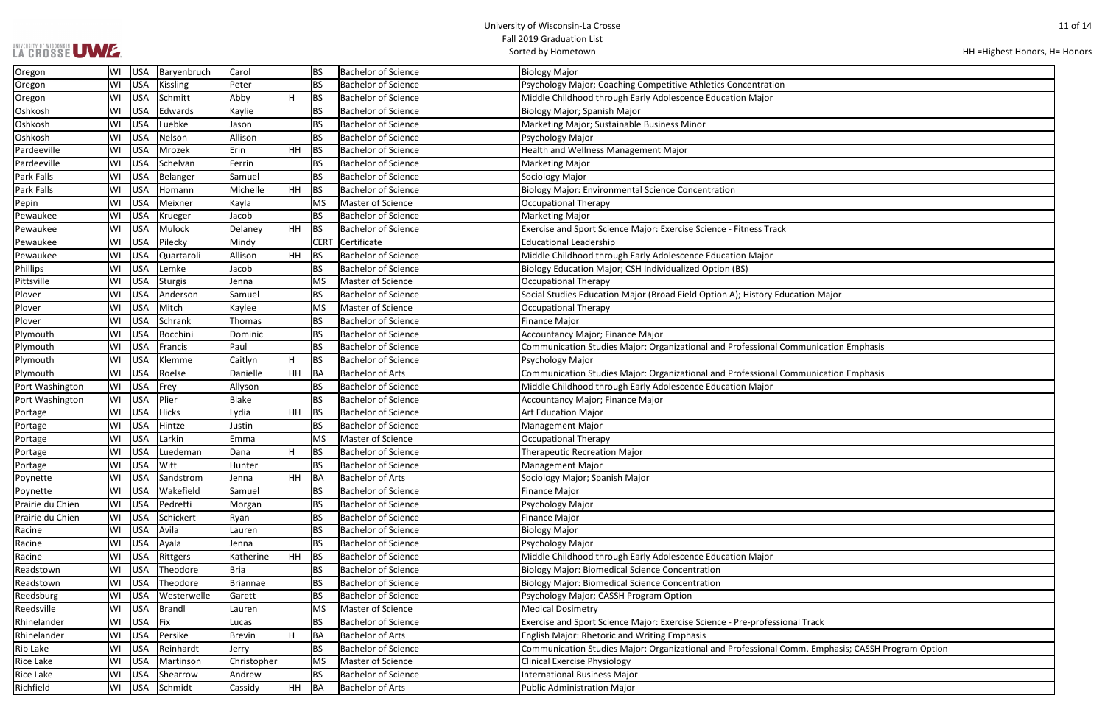|  |  |  | LA CROSSE UWE. |
|--|--|--|----------------|

| HH = Highest Honors, H = Honors |  |  |
|---------------------------------|--|--|
|---------------------------------|--|--|

| n Major                        |
|--------------------------------|
|                                |
|                                |
|                                |
| nication Emphasis              |
|                                |
| nication Emphasis              |
|                                |
|                                |
|                                |
|                                |
|                                |
|                                |
|                                |
|                                |
|                                |
|                                |
|                                |
|                                |
|                                |
|                                |
|                                |
|                                |
|                                |
|                                |
| ack                            |
|                                |
| Emphasis; CASSH Program Option |
|                                |
|                                |
|                                |
|                                |

| Oregon           | WI | Baryenbruch<br><b>USA</b>     | Carol         |     | <b>BS</b>   | <b>Bachelor of Science</b> | <b>Biology Major</b>                                                                              |
|------------------|----|-------------------------------|---------------|-----|-------------|----------------------------|---------------------------------------------------------------------------------------------------|
| Oregon           | WI | <b>USA</b><br><b>Kissling</b> | Peter         |     | <b>BS</b>   | <b>Bachelor of Science</b> | Psychology Major; Coaching Competitive Athletics Concentration                                    |
| Oregon           | WI | <b>USA</b><br>Schmitt         | Abby          | H   | BS          | <b>Bachelor of Science</b> | Middle Childhood through Early Adolescence Education Major                                        |
| Oshkosh          | WI | <b>USA</b><br>Edwards         | Kaylie        |     | <b>BS</b>   | <b>Bachelor of Science</b> | Biology Major; Spanish Major                                                                      |
| Oshkosh          | WI | <b>USA</b><br>Luebke          | Jason         |     | <b>BS</b>   | <b>Bachelor of Science</b> | Marketing Major; Sustainable Business Minor                                                       |
| Oshkosh          | WI | <b>USA</b><br>Nelson          | Allison       |     | <b>BS</b>   | <b>Bachelor of Science</b> | Psychology Major                                                                                  |
| Pardeeville      | WI | <b>USA</b><br>Mrozek          | Erin          | HH  | BS          | <b>Bachelor of Science</b> | Health and Wellness Management Major                                                              |
| Pardeeville      | WI | <b>USA</b><br>Schelvan        | Ferrin        |     | BS          | <b>Bachelor of Science</b> | <b>Marketing Major</b>                                                                            |
| Park Falls       | WI | <b>USA</b><br>Belanger        | Samuel        |     | <b>BS</b>   | <b>Bachelor of Science</b> | Sociology Major                                                                                   |
| Park Falls       | WI | <b>USA</b><br>Homann          | Michelle      | HH  | BS          | <b>Bachelor of Science</b> | <b>Biology Major: Environmental Science Concentration</b>                                         |
| Pepin            | WI | <b>USA</b><br>Meixner         | Kayla         |     | <b>MS</b>   | Master of Science          | <b>Occupational Therapy</b>                                                                       |
| Pewaukee         | WI | <b>USA</b><br>Krueger         | Jacob         |     | <b>BS</b>   | <b>Bachelor of Science</b> | <b>Marketing Major</b>                                                                            |
| Pewaukee         | WI | <b>USA</b><br>Mulock          | Delaney       | HH  | BS          | <b>Bachelor of Science</b> | Exercise and Sport Science Major: Exercise Science - Fitness Track                                |
| Pewaukee         | WI | <b>USA</b><br>Pilecky         | Mindy         |     | <b>CERT</b> | Certificate                | <b>Educational Leadership</b>                                                                     |
| Pewaukee         | WI | <b>USA</b><br>Quartaroli      | Allison       | HH  | BS          | <b>Bachelor of Science</b> | Middle Childhood through Early Adolescence Education Major                                        |
| <b>Phillips</b>  | WI | <b>USA</b><br>Lemke           | Jacob         |     | <b>BS</b>   | <b>Bachelor of Science</b> | Biology Education Major; CSH Individualized Option (BS)                                           |
| Pittsville       | WI | <b>USA</b><br><b>Sturgis</b>  | Jenna         |     | <b>MS</b>   | Master of Science          | <b>Occupational Therapy</b>                                                                       |
| Plover           | WI | <b>USA</b><br>Anderson        | Samuel        |     | <b>BS</b>   | <b>Bachelor of Science</b> | Social Studies Education Major (Broad Field Option A); History Education Major                    |
| Plover           | WI | <b>USA</b><br>Mitch           | Kaylee        |     | <b>MS</b>   | Master of Science          | <b>Occupational Therapy</b>                                                                       |
| Plover           | WI | <b>USA</b><br>Schrank         | Thomas        |     | <b>BS</b>   | <b>Bachelor of Science</b> | <b>Finance Major</b>                                                                              |
| Plymouth         | WI | <b>USA</b><br>Bocchini        | Dominic       |     | <b>BS</b>   | <b>Bachelor of Science</b> | Accountancy Major; Finance Major                                                                  |
| Plymouth         | WI | <b>USA</b><br>Francis         | Paul          |     | <b>BS</b>   | <b>Bachelor of Science</b> | Communication Studies Major: Organizational and Professional Communication Emphasis               |
| Plymouth         | WI | <b>USA</b><br>Klemme          | Caitlyn       | Н   | <b>BS</b>   | <b>Bachelor of Science</b> | Psychology Major                                                                                  |
| Plymouth         | WI | <b>USA</b><br>Roelse          | Danielle      | HH  | BA          | <b>Bachelor of Arts</b>    | Communication Studies Major: Organizational and Professional Communication Emphasis               |
| Port Washington  | WI | <b>USA</b><br>Frey            | Allyson       |     | <b>BS</b>   | <b>Bachelor of Science</b> | Middle Childhood through Early Adolescence Education Major                                        |
| Port Washington  | WI | <b>USA</b><br>Plier           | <b>Blake</b>  |     | <b>BS</b>   | <b>Bachelor of Science</b> | Accountancy Major; Finance Major                                                                  |
| Portage          | WI | <b>USA</b><br><b>Hicks</b>    | Lydia         | HH  | BS          | <b>Bachelor of Science</b> | <b>Art Education Major</b>                                                                        |
| Portage          | WI | <b>USA</b><br>Hintze          | Justin        |     | <b>BS</b>   | <b>Bachelor of Science</b> | Management Major                                                                                  |
| Portage          | WI | <b>USA</b><br>Larkin          | Emma          |     | <b>MS</b>   | Master of Science          | <b>Occupational Therapy</b>                                                                       |
| Portage          | WI | <b>USA</b><br>Luedeman        | Dana          |     | <b>BS</b>   | <b>Bachelor of Science</b> | <b>Therapeutic Recreation Major</b>                                                               |
| Portage          | WI | <b>USA</b><br>Witt            | Hunter        |     | <b>BS</b>   | <b>Bachelor of Science</b> | <b>Management Major</b>                                                                           |
| Poynette         | WI | Sandstrom<br><b>USA</b>       | Jenna         | HH. | BA          | <b>Bachelor of Arts</b>    | Sociology Major; Spanish Major                                                                    |
| Poynette         | WI | <b>USA</b><br>Wakefield       | Samuel        |     | <b>BS</b>   | <b>Bachelor of Science</b> | <b>Finance Major</b>                                                                              |
| Prairie du Chien | WI | <b>USA</b><br>Pedretti        | Morgan        |     | <b>BS</b>   | <b>Bachelor of Science</b> | Psychology Major                                                                                  |
| Prairie du Chien | WI | <b>USA</b><br>Schickert       | Ryan          |     | <b>BS</b>   | <b>Bachelor of Science</b> | <b>Finance Major</b>                                                                              |
| Racine           | WI | <b>USA</b><br>Avila           | Lauren        |     | <b>BS</b>   | <b>Bachelor of Science</b> | <b>Biology Major</b>                                                                              |
| Racine           | WI | <b>USA</b><br>Ayala           | Jenna         |     | <b>BS</b>   | <b>Bachelor of Science</b> | Psychology Major                                                                                  |
| Racine           | WI | <b>USA</b><br>Rittgers        | Katherine     | HH  | BS          | <b>Bachelor of Science</b> | Middle Childhood through Early Adolescence Education Major                                        |
| Readstown        | WI | <b>USA</b><br>Theodore        | Bria          |     | <b>BS</b>   | <b>Bachelor of Science</b> | <b>Biology Major: Biomedical Science Concentration</b>                                            |
| Readstown        | WI | <b>USA</b><br>Theodore        | Briannae      |     | <b>BS</b>   | <b>Bachelor of Science</b> | <b>Biology Major: Biomedical Science Concentration</b>                                            |
| Reedsburg        | WI | <b>USA</b><br>Westerwelle     | Garett        |     | <b>BS</b>   | <b>Bachelor of Science</b> | Psychology Major; CASSH Program Option                                                            |
| Reedsville       | WI | <b>USA</b><br>Brandl          | Lauren        |     | <b>MS</b>   | Master of Science          | <b>Medical Dosimetry</b>                                                                          |
| Rhinelander      | WI | <b>USA</b><br>Fix             | Lucas         |     | <b>BS</b>   | <b>Bachelor of Science</b> | Exercise and Sport Science Major: Exercise Science - Pre-professional Track                       |
| Rhinelander      | WI | <b>USA</b><br>Persike         | <b>Brevin</b> | H   | BA          | <b>Bachelor of Arts</b>    | <b>English Major: Rhetoric and Writing Emphasis</b>                                               |
| <b>Rib Lake</b>  | WI | <b>USA</b><br>Reinhardt       | Jerry         |     | <b>BS</b>   | <b>Bachelor of Science</b> | Communication Studies Major: Organizational and Professional Comm. Emphasis; CASSH Program Optior |
| <b>Rice Lake</b> | WI | <b>USA</b><br>Martinson       | Christopher   |     | <b>MS</b>   | Master of Science          | <b>Clinical Exercise Physiology</b>                                                               |
| Rice Lake        | WI | <b>USA</b><br>Shearrow        | Andrew        |     | <b>BS</b>   | <b>Bachelor of Science</b> | <b>International Business Major</b>                                                               |
| Richfield        | WI | USA Schmidt                   | Cassidy       | HH  | $\vert$ BA  | <b>Bachelor of Arts</b>    | <b>Public Administration Major</b>                                                                |
|                  |    |                               |               |     |             |                            |                                                                                                   |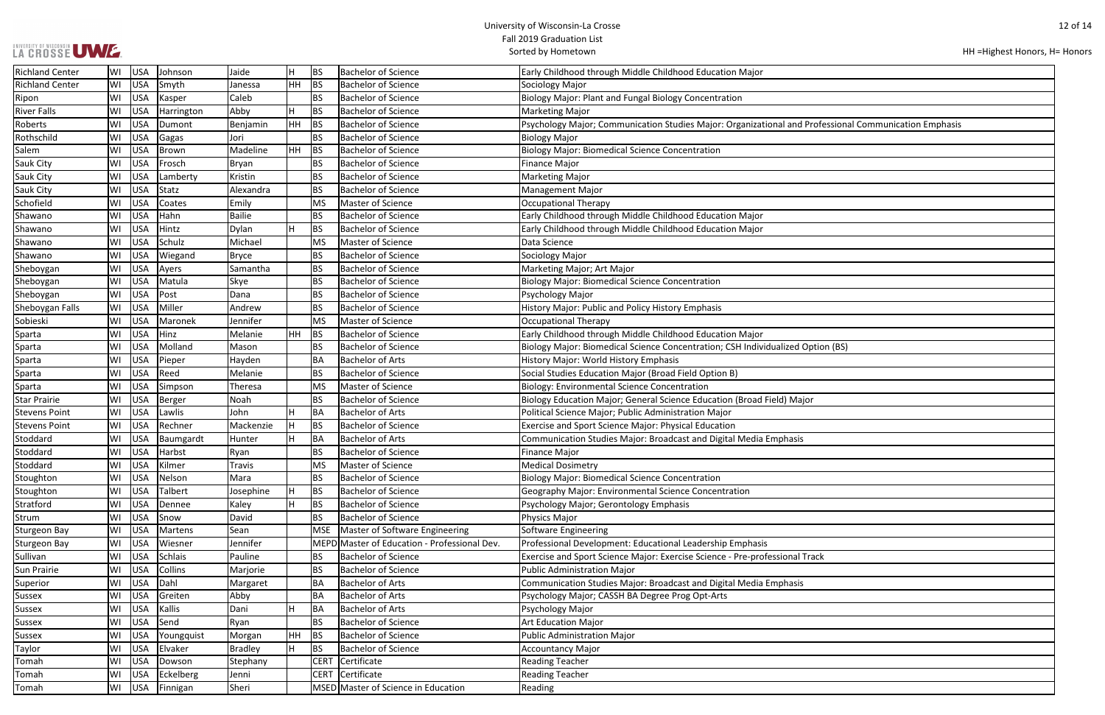# UNIVERSITY OF WISCONSIN UWWF.

HH =Highest Honors, H= Honors

| rofessional Communication Emphasis |
|------------------------------------|
|                                    |
|                                    |
|                                    |
|                                    |
|                                    |
|                                    |
|                                    |
|                                    |
|                                    |
|                                    |
|                                    |
|                                    |
|                                    |
|                                    |
|                                    |
|                                    |
|                                    |
|                                    |
|                                    |
|                                    |
|                                    |
| otion (BS)                         |
|                                    |
|                                    |
|                                    |
|                                    |
| r                                  |
|                                    |
|                                    |
|                                    |
|                                    |
|                                    |
|                                    |
|                                    |
|                                    |
|                                    |
|                                    |
|                                    |
|                                    |
|                                    |
|                                    |
|                                    |
| ack                                |
|                                    |
|                                    |
|                                    |
|                                    |
|                                    |
|                                    |
|                                    |
|                                    |
|                                    |
|                                    |
|                                    |
|                                    |
|                                    |
|                                    |

| <b>Richland Center</b> | lWI | USA        | Johnson    | Jaide     | H              | BS          | Bachelor of Science                          | Early Childhood through Middle Childhood Education Major                                              |
|------------------------|-----|------------|------------|-----------|----------------|-------------|----------------------------------------------|-------------------------------------------------------------------------------------------------------|
| <b>Richland Center</b> | WI  | <b>USA</b> | Smyth      | Janessa   | HH.            | <b>BS</b>   | <b>Bachelor of Science</b>                   | Sociology Major                                                                                       |
| Ripon                  | WI  | <b>USA</b> | Kasper     | Caleb     |                | <b>BS</b>   | <b>Bachelor of Science</b>                   | <b>Biology Major: Plant and Fungal Biology Concentration</b>                                          |
| <b>River Falls</b>     | WI  | <b>USA</b> | Harrington | Abby      | H              | <b>BS</b>   | <b>Bachelor of Science</b>                   | <b>Marketing Major</b>                                                                                |
| Roberts                | WI  | <b>USA</b> | Dumont     | Benjamin  | HH.            | <b>BS</b>   | <b>Bachelor of Science</b>                   | Psychology Major; Communication Studies Major: Organizational and Professional Communication Emphasis |
| Rothschild             | WI  | <b>USA</b> | Gagas      | Jori      |                | <b>BS</b>   | <b>Bachelor of Science</b>                   | <b>Biology Major</b>                                                                                  |
| Salem                  | WI  | <b>USA</b> | Brown      | Madeline  | HH             | <b>BS</b>   | <b>Bachelor of Science</b>                   | <b>Biology Major: Biomedical Science Concentration</b>                                                |
| Sauk City              | WI  | <b>USA</b> | Frosch     | Bryan     |                | <b>BS</b>   | <b>Bachelor of Science</b>                   | Finance Major                                                                                         |
| Sauk City              | WI  | <b>USA</b> | Lamberty   | Kristin   |                | <b>BS</b>   | <b>Bachelor of Science</b>                   | <b>Marketing Major</b>                                                                                |
| Sauk City              | WI  | <b>USA</b> | Statz      | Alexandra |                | <b>BS</b>   | <b>Bachelor of Science</b>                   | <b>Management Major</b>                                                                               |
| Schofield              | WI  | <b>USA</b> | Coates     | Emily     |                | <b>MS</b>   | Master of Science                            | <b>Occupational Therapy</b>                                                                           |
| Shawano                | WI  | <b>USA</b> | Hahn       | Bailie    |                | <b>BS</b>   | <b>Bachelor of Science</b>                   | Early Childhood through Middle Childhood Education Major                                              |
| Shawano                | WI  | <b>USA</b> | Hintz      | Dylan     | H              | <b>BS</b>   | <b>Bachelor of Science</b>                   | Early Childhood through Middle Childhood Education Major                                              |
| Shawano                | WI  | <b>USA</b> | Schulz     | Michael   |                | MS          | Master of Science                            | Data Science                                                                                          |
| Shawano                | WI  | USA        | Wiegand    | Bryce     |                | <b>BS</b>   | <b>Bachelor of Science</b>                   | Sociology Major                                                                                       |
| Sheboygan              | WI  | <b>USA</b> | Ayers      | Samantha  |                | <b>BS</b>   | <b>Bachelor of Science</b>                   | Marketing Major; Art Major                                                                            |
| Sheboygan              | WI  | <b>USA</b> | Matula     | Skye      |                | <b>BS</b>   | <b>Bachelor of Science</b>                   | <b>Biology Major: Biomedical Science Concentration</b>                                                |
| Sheboygan              | WI  | <b>USA</b> | Post       | Dana      |                | <b>BS</b>   | <b>Bachelor of Science</b>                   | Psychology Major                                                                                      |
| Sheboygan Falls        | WI  | <b>USA</b> | Miller     | Andrew    |                | BS          | <b>Bachelor of Science</b>                   | History Major: Public and Policy History Emphasis                                                     |
| Sobieski               | WI  | <b>USA</b> | Maronek    | Jennifer  |                | <b>MS</b>   | Master of Science                            | Occupational Therapy                                                                                  |
| Sparta                 | WI  | <b>USA</b> | Hinz       | Melanie   | HH.            | BS          | <b>Bachelor of Science</b>                   | Early Childhood through Middle Childhood Education Major                                              |
| Sparta                 | WI  | <b>USA</b> | Molland    | Mason     |                | <b>BS</b>   | <b>Bachelor of Science</b>                   | Biology Major: Biomedical Science Concentration; CSH Individualized Option (BS)                       |
| Sparta                 | WI  | <b>USA</b> | Pieper     | Hayden    |                | BA          | <b>Bachelor of Arts</b>                      | History Major: World History Emphasis                                                                 |
| Sparta                 | WI  | USA        | Reed       | Melanie   |                | <b>BS</b>   | <b>Bachelor of Science</b>                   | Social Studies Education Major (Broad Field Option B)                                                 |
| Sparta                 | WI  | <b>USA</b> | Simpson    | Theresa   |                | <b>MS</b>   | Master of Science                            | <b>Biology: Environmental Science Concentration</b>                                                   |
| <b>Star Prairie</b>    | WI  | <b>USA</b> | Berger     | Noah      |                | <b>BS</b>   | <b>Bachelor of Science</b>                   | Biology Education Major; General Science Education (Broad Field) Major                                |
| <b>Stevens Point</b>   | WI  | <b>USA</b> | Lawlis     | John      | H              | BA          | <b>Bachelor of Arts</b>                      | Political Science Major; Public Administration Major                                                  |
| <b>Stevens Point</b>   | WI  | <b>USA</b> | Rechner    | Mackenzie | $\overline{H}$ | <b>BS</b>   | <b>Bachelor of Science</b>                   | <b>Exercise and Sport Science Major: Physical Education</b>                                           |
| Stoddard               | WI  | USA        | Baumgardt  | Hunter    | H              | BA          | <b>Bachelor of Arts</b>                      | Communication Studies Major: Broadcast and Digital Media Emphasis                                     |
| Stoddard               | WI  | <b>USA</b> | Harbst     | Ryan      |                | <b>BS</b>   | <b>Bachelor of Science</b>                   | Finance Major                                                                                         |
| Stoddard               | WI  | <b>USA</b> | Kilmer     | Travis    |                | <b>MS</b>   | Master of Science                            | <b>Medical Dosimetry</b>                                                                              |
| Stoughton              | WI  |            | USA Nelson | Mara      |                | BS          | <b>Bachelor of Science</b>                   | Biology Major: Biomedical Science Concentration                                                       |
| Stoughton              | WI  | <b>USA</b> | Talbert    | Josephine | $\overline{H}$ | <b>BS</b>   | <b>Bachelor of Science</b>                   | Geography Major: Environmental Science Concentration                                                  |
| Stratford              | WI  | <b>USA</b> | Dennee     | Kaley     | H              | <b>BS</b>   | <b>Bachelor of Science</b>                   | Psychology Major; Gerontology Emphasis                                                                |
| Strum                  | WI  | <b>USA</b> | Snow       | David     |                | <b>BS</b>   | <b>Bachelor of Science</b>                   | Physics Major                                                                                         |
| Sturgeon Bay           | WI  | <b>USA</b> | Martens    | Sean      |                | <b>MSE</b>  | Master of Software Engineering               | Software Engineering                                                                                  |
| <b>Sturgeon Bay</b>    | WI  | <b>USA</b> | Wiesner    | Jennifer  |                |             | MEPD Master of Education - Professional Dev. | Professional Development: Educational Leadership Emphasis                                             |
| Sullivan               | WI  | <b>USA</b> | Schlais    | Pauline   |                | ВS          | <b>Bachelor of Science</b>                   | Exercise and Sport Science Major: Exercise Science - Pre-professional Track                           |
| Sun Prairie            | WI  | <b>USA</b> | Collins    | Marjorie  |                | <b>BS</b>   | <b>Bachelor of Science</b>                   | <b>Public Administration Major</b>                                                                    |
| Superior               | WI  | USA        | Dahl       | Margaret  |                | <b>BA</b>   | <b>Bachelor of Arts</b>                      | Communication Studies Major: Broadcast and Digital Media Emphasis                                     |
| Sussex                 | WI  | <b>USA</b> | Greiten    | Abby      |                | <b>BA</b>   | <b>Bachelor of Arts</b>                      | Psychology Major; CASSH BA Degree Prog Opt-Arts                                                       |
| Sussex                 | WI  | <b>USA</b> | Kallis     | Dani      | H              | BA          | <b>Bachelor of Arts</b>                      | Psychology Major                                                                                      |
| Sussex                 | WI  | <b>USA</b> | Send       | Ryan      |                | <b>BS</b>   | <b>Bachelor of Science</b>                   | <b>Art Education Major</b>                                                                            |
| Sussex                 | WI  | <b>USA</b> | Youngquist | Morgan    | HH.            | <b>BS</b>   | <b>Bachelor of Science</b>                   | Public Administration Major                                                                           |
| Taylor                 | WI  | <b>USA</b> | Elvaker    | Bradley   | H              | <b>BS</b>   | <b>Bachelor of Science</b>                   | <b>Accountancy Major</b>                                                                              |
| Tomah                  | WI  | USA        | Dowson     | Stephany  |                | <b>CERT</b> | Certificate                                  | <b>Reading Teacher</b>                                                                                |
| Tomah                  | WI  | <b>USA</b> | Eckelberg  | Jenni     |                | <b>CERT</b> | Certificate                                  | <b>Reading Teacher</b>                                                                                |
| Tomah                  | WI  | <b>USA</b> | Finnigan   | Sheri     |                |             | MSED Master of Science in Education          | Reading                                                                                               |
|                        |     |            |            |           |                |             |                                              |                                                                                                       |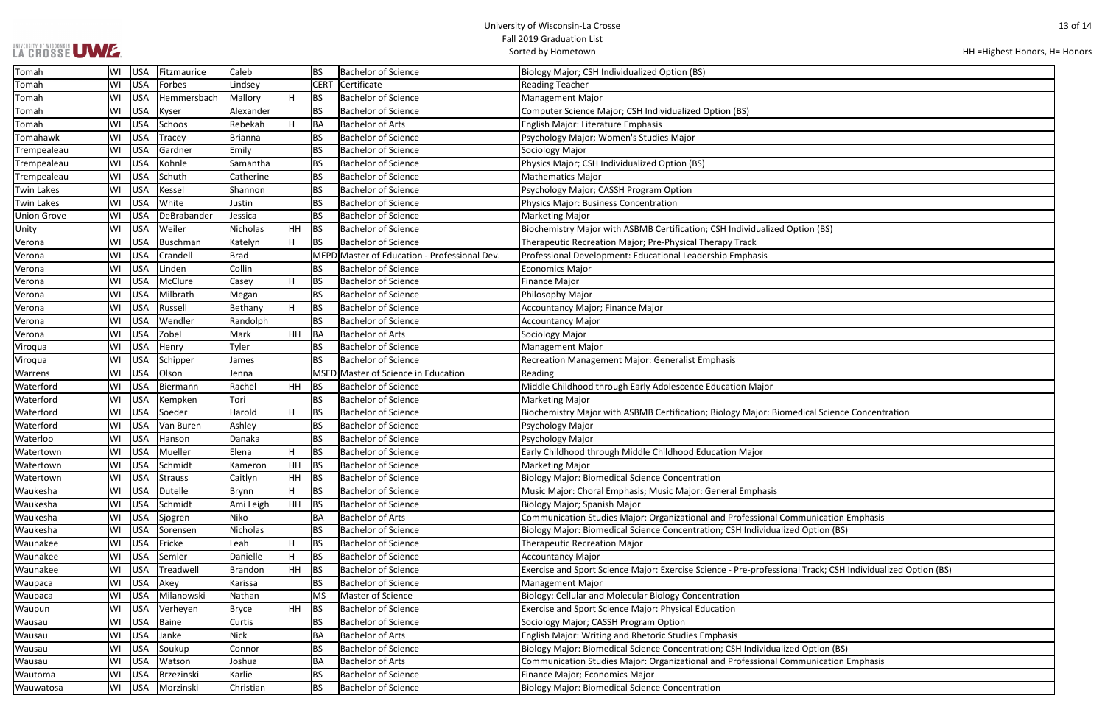| LA CROSSE UWE. |  |
|----------------|--|
|                |  |

| HH = Highest Honors, H = Honors |  |  |
|---------------------------------|--|--|
|---------------------------------|--|--|

| າ (BS)                              |
|-------------------------------------|
|                                     |
|                                     |
|                                     |
|                                     |
|                                     |
|                                     |
|                                     |
|                                     |
|                                     |
|                                     |
|                                     |
| al Science Concentration            |
|                                     |
|                                     |
|                                     |
|                                     |
|                                     |
|                                     |
|                                     |
| nication Emphasis                   |
| otion (BS)                          |
|                                     |
| ack; CSH Individualized Option (BS) |
|                                     |
|                                     |
|                                     |
|                                     |
|                                     |
| otion (BS)                          |
| nication Emphasis                   |
|                                     |
|                                     |

| Tomah              | WI | <b>USA</b> | Fitzmaurice   | Caleb       |     | <b>BS</b>   | <b>Bachelor of Science</b>                   | Biology Major; CSH Individualized Option (BS)                                                               |
|--------------------|----|------------|---------------|-------------|-----|-------------|----------------------------------------------|-------------------------------------------------------------------------------------------------------------|
| Tomah              | WI | <b>USA</b> | Forbes        | Lindsey     |     | <b>CERT</b> | Certificate                                  | <b>Reading Teacher</b>                                                                                      |
| Tomah              | WI | <b>USA</b> | Hemmersbach   | Mallory     | Iн  | <b>BS</b>   | <b>Bachelor of Science</b>                   | <b>Management Major</b>                                                                                     |
| Tomah              | WI | <b>USA</b> | Kyser         | Alexander   |     | <b>BS</b>   | <b>Bachelor of Science</b>                   | Computer Science Major; CSH Individualized Option (BS)                                                      |
| Tomah              | WI | <b>USA</b> | Schoos        | Rebekah     | Iн  | BA          | <b>Bachelor of Arts</b>                      | English Major: Literature Emphasis                                                                          |
| Tomahawk           | WI | <b>USA</b> | <b>Tracey</b> | Brianna     |     | <b>BS</b>   | <b>Bachelor of Science</b>                   | Psychology Major; Women's Studies Major                                                                     |
| Trempealeau        | WI | <b>USA</b> | Gardner       | Emily       |     | BS          | <b>Bachelor of Science</b>                   | Sociology Major                                                                                             |
| Trempealeau        | WI | <b>USA</b> | Kohnle        | Samantha    |     | <b>BS</b>   | <b>Bachelor of Science</b>                   | Physics Major; CSH Individualized Option (BS)                                                               |
| Trempealeau        | WI | <b>USA</b> | Schuth        | Catherine   |     | <b>BS</b>   | <b>Bachelor of Science</b>                   | <b>Mathematics Major</b>                                                                                    |
| <b>Twin Lakes</b>  | WI | <b>USA</b> | Kessel        | Shannon     |     | <b>BS</b>   | <b>Bachelor of Science</b>                   | Psychology Major; CASSH Program Option                                                                      |
| <b>Twin Lakes</b>  | WI | <b>USA</b> | White         | Justin      |     | <b>BS</b>   | <b>Bachelor of Science</b>                   | Physics Major: Business Concentration                                                                       |
| <b>Union Grove</b> | WI | <b>USA</b> | DeBrabander   | Jessica     |     | <b>BS</b>   | <b>Bachelor of Science</b>                   | <b>Marketing Major</b>                                                                                      |
| Unity              | WI | <b>USA</b> | Weiler        | Nicholas    | HH  | BS          | <b>Bachelor of Science</b>                   | Biochemistry Major with ASBMB Certification; CSH Individualized Option (BS)                                 |
| Verona             | WI | <b>USA</b> | Buschman      | Katelyn     | Iн  | <b>BS</b>   | <b>Bachelor of Science</b>                   | Therapeutic Recreation Major; Pre-Physical Therapy Track                                                    |
| Verona             | WI | <b>USA</b> | Crandell      | <b>Brad</b> |     |             | MEPD Master of Education - Professional Dev. | Professional Development: Educational Leadership Emphasis                                                   |
| Verona             | WI | <b>USA</b> | Linden        | Collin      |     | BS          | <b>Bachelor of Science</b>                   | <b>Economics Major</b>                                                                                      |
| Verona             | WI | <b>USA</b> | McClure       | Casey       | H   | BS          | <b>Bachelor of Science</b>                   | <b>Finance Major</b>                                                                                        |
| Verona             | WI | <b>USA</b> | Milbrath      | Megan       |     | <b>BS</b>   | <b>Bachelor of Science</b>                   | Philosophy Major                                                                                            |
| Verona             | WI | <b>USA</b> | Russell       | Bethany     | H   | BS          | <b>Bachelor of Science</b>                   | Accountancy Major; Finance Major                                                                            |
| Verona             | WI | <b>USA</b> | Wendler       | Randolph    |     | <b>BS</b>   | <b>Bachelor of Science</b>                   | <b>Accountancy Major</b>                                                                                    |
| Verona             | WI | <b>USA</b> | Zobel         | Mark        | HH  | BA          | <b>Bachelor of Arts</b>                      | Sociology Major                                                                                             |
| Viroqua            | WI | <b>USA</b> | Henry         | Tyler       |     | <b>BS</b>   | <b>Bachelor of Science</b>                   | <b>Management Major</b>                                                                                     |
| Viroqua            | WI | <b>USA</b> | Schipper      | James       |     | <b>BS</b>   | <b>Bachelor of Science</b>                   | Recreation Management Major: Generalist Emphasis                                                            |
| Warrens            | WI | <b>USA</b> | Olson         | Jenna       |     |             | MSED Master of Science in Education          | Reading                                                                                                     |
| Waterford          | WI | <b>USA</b> | Biermann      | Rachel      | HH  | <b>BS</b>   | <b>Bachelor of Science</b>                   | Middle Childhood through Early Adolescence Education Major                                                  |
| Waterford          | WI | <b>USA</b> | Kempken       | Tori        |     | <b>BS</b>   | <b>Bachelor of Science</b>                   | <b>Marketing Major</b>                                                                                      |
| Waterford          | WI | USA        | Soeder        | Harold      | H   | BS          | <b>Bachelor of Science</b>                   | Biochemistry Major with ASBMB Certification; Biology Major: Biomedical Science Concentration                |
| Waterford          | WI | <b>USA</b> | Van Buren     | Ashley      |     | <b>BS</b>   | <b>Bachelor of Science</b>                   | Psychology Major                                                                                            |
| Waterloo           | WI | <b>USA</b> | Hanson        | Danaka      |     | <b>BS</b>   | <b>Bachelor of Science</b>                   | Psychology Major                                                                                            |
| Watertown          | WI | <b>USA</b> | Mueller       | Elena       | н   | BS          | <b>Bachelor of Science</b>                   | Early Childhood through Middle Childhood Education Major                                                    |
| Watertown          | WI | <b>USA</b> | Schmidt       | Kameron     | HH  | <b>BS</b>   | <b>Bachelor of Science</b>                   | <b>Marketing Major</b>                                                                                      |
| Watertown          | WI | <b>USA</b> | Strauss       | Caitlyn     | HH. | BS          | <b>Bachelor of Science</b>                   | <b>Biology Major: Biomedical Science Concentration</b>                                                      |
| Waukesha           | WI | <b>USA</b> | Dutelle       | Brynn       | H   | BS          | <b>Bachelor of Science</b>                   | Music Major: Choral Emphasis; Music Major: General Emphasis                                                 |
| Waukesha           | WI | <b>USA</b> | Schmidt       | Ami Leigh   | HH  | BS          | <b>Bachelor of Science</b>                   | Biology Major; Spanish Major                                                                                |
| Waukesha           | WI | <b>USA</b> | Sjogren       | Niko        |     | <b>BA</b>   | <b>Bachelor of Arts</b>                      | Communication Studies Major: Organizational and Professional Communication Emphasis                         |
| Waukesha           | WI | <b>USA</b> | Sorensen      | Nicholas    |     | <b>BS</b>   | <b>Bachelor of Science</b>                   | Biology Major: Biomedical Science Concentration; CSH Individualized Option (BS)                             |
| Waunakee           | WI | <b>USA</b> | Fricke        | Leah        | H   | BS          | <b>Bachelor of Science</b>                   | <b>Therapeutic Recreation Major</b>                                                                         |
| Waunakee           | WI | <b>USA</b> | Semler        | Danielle    | H   | <b>BS</b>   | <b>Bachelor of Science</b>                   | <b>Accountancy Major</b>                                                                                    |
| Waunakee           | WI | <b>USA</b> | Treadwell     | Brandon     | HH  | BS          | <b>Bachelor of Science</b>                   | Exercise and Sport Science Major: Exercise Science - Pre-professional Track; CSH Individualized Option (BS) |
| Waupaca            | WI | <b>USA</b> | Akey          | Karissa     |     | <b>BS</b>   | <b>Bachelor of Science</b>                   | <b>Management Major</b>                                                                                     |
| Waupaca            | WI | <b>USA</b> | Milanowski    | Nathan      |     | <b>MS</b>   | Master of Science                            | Biology: Cellular and Molecular Biology Concentration                                                       |
| Waupun             | WI | <b>USA</b> | Verheyen      | Bryce       | HH  | BS          | <b>Bachelor of Science</b>                   | <b>Exercise and Sport Science Major: Physical Education</b>                                                 |
| Wausau             | WI | <b>USA</b> | Baine         | Curtis      |     | <b>BS</b>   | <b>Bachelor of Science</b>                   | Sociology Major; CASSH Program Option                                                                       |
| Wausau             | WI | <b>USA</b> | Janke         | <b>Nick</b> |     | <b>BA</b>   | <b>Bachelor of Arts</b>                      | English Major: Writing and Rhetoric Studies Emphasis                                                        |
| Wausau             | WI | <b>USA</b> | Soukup        | Connor      |     | <b>BS</b>   | <b>Bachelor of Science</b>                   | Biology Major: Biomedical Science Concentration; CSH Individualized Option (BS)                             |
| Wausau             | WI | <b>USA</b> | Watson        | Joshua      |     | BA          | <b>Bachelor of Arts</b>                      | Communication Studies Major: Organizational and Professional Communication Emphasis                         |
| Wautoma            | WI | <b>USA</b> | Brzezinski    | Karlie      |     | <b>BS</b>   | <b>Bachelor of Science</b>                   | Finance Major; Economics Major                                                                              |
| Wauwatosa          | WI | <b>USA</b> | Morzinski     | Christian   |     | <b>BS</b>   | <b>Bachelor of Science</b>                   | <b>Biology Major: Biomedical Science Concentration</b>                                                      |
|                    |    |            |               |             |     |             |                                              |                                                                                                             |